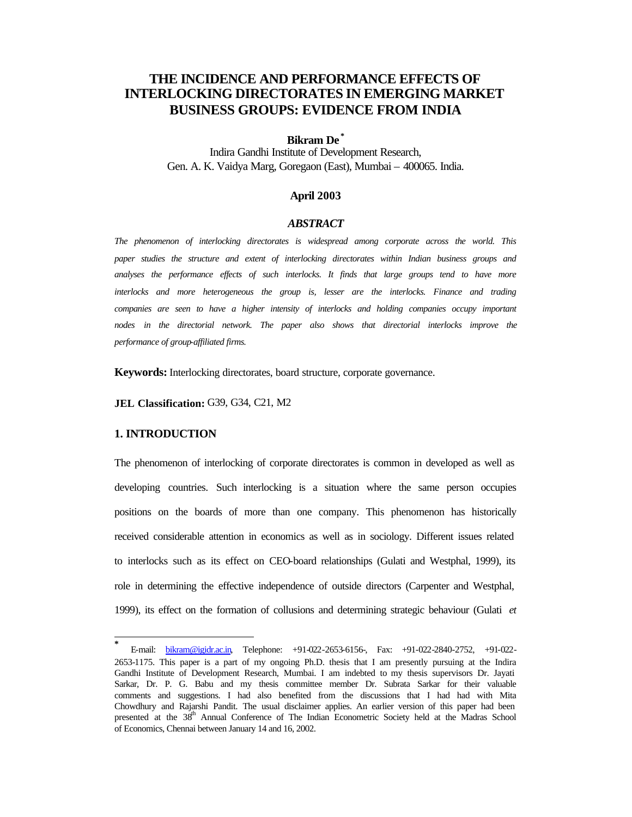# **THE INCIDENCE AND PERFORMANCE EFFECTS OF INTERLOCKING DIRECTORATES IN EMERGING MARKET BUSINESS GROUPS: EVIDENCE FROM INDIA**

# **Bikram De \***

Indira Gandhi Institute of Development Research, Gen. A. K. Vaidya Marg, Goregaon (East), Mumbai – 400065. India.

## **April 2003**

## *ABSTRACT*

*The phenomenon of interlocking directorates is widespread among corporate across the world. This paper studies the structure and extent of interlocking directorates within Indian business groups and analyses the performance effects of such interlocks. It finds that large groups tend to have more interlocks and more heterogeneous the group is, lesser are the interlocks. Finance and trading companies are seen to have a higher intensity of interlocks and holding companies occupy important nodes in the directorial network. The paper also shows that directorial interlocks improve the performance of group-affiliated firms.*

**Keywords:** Interlocking directorates, board structure, corporate governance.

**JEL Classification:** G39, G34, C21, M2

## **1. INTRODUCTION**

l

The phenomenon of interlocking of corporate directorates is common in developed as well as developing countries. Such interlocking is a situation where the same person occupies positions on the boards of more than one company. This phenomenon has historically received considerable attention in economics as well as in sociology. Different issues related to interlocks such as its effect on CEO-board relationships (Gulati and Westphal, 1999), its role in determining the effective independence of outside directors (Carpenter and Westphal, 1999), its effect on the formation of collusions and determining strategic behaviour (Gulati *et* 

**<sup>\*</sup>** E-mail: bikram@igidr.ac.in, Telephone: +91-022-2653-6156-, Fax: +91-022-2840-2752, +91-022- 2653-1175. This paper is a part of my ongoing Ph.D. thesis that I am presently pursuing at the Indira Gandhi Institute of Development Research, Mumbai. I am indebted to my thesis supervisors Dr. Jayati Sarkar, Dr. P. G. Babu and my thesis committee member Dr. Subrata Sarkar for their valuable comments and suggestions. I had also benefited from the discussions that I had had with Mita Chowdhury and Rajarshi Pandit. The usual disclaimer applies. An earlier version of this paper had been presented at the 38<sup>th</sup> Annual Conference of The Indian Econometric Society held at the Madras School of Economics, Chennai between January 14 and 16, 2002.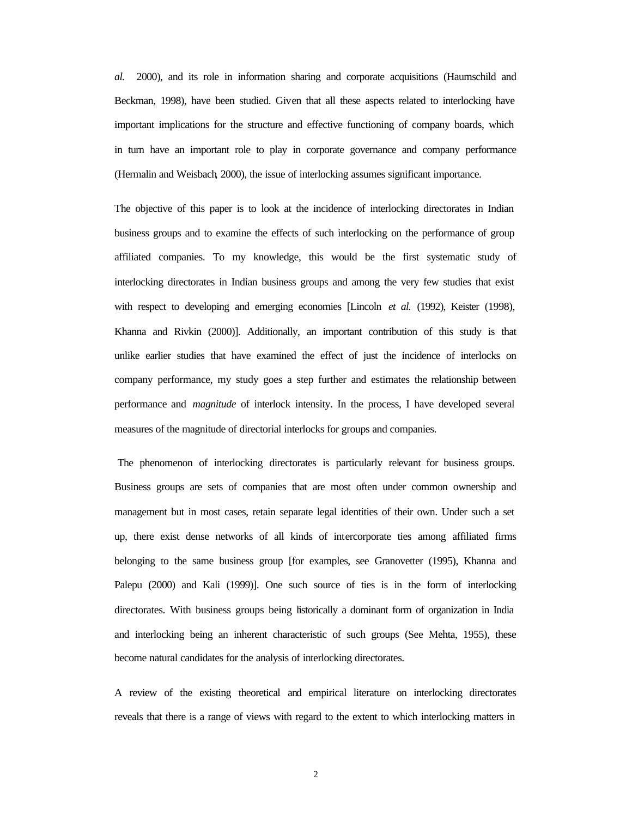*al.* 2000), and its role in information sharing and corporate acquisitions (Haumschild and Beckman, 1998), have been studied. Given that all these aspects related to interlocking have important implications for the structure and effective functioning of company boards, which in turn have an important role to play in corporate governance and company performance (Hermalin and Weisbach, 2000), the issue of interlocking assumes significant importance.

The objective of this paper is to look at the incidence of interlocking directorates in Indian business groups and to examine the effects of such interlocking on the performance of group affiliated companies. To my knowledge, this would be the first systematic study of interlocking directorates in Indian business groups and among the very few studies that exist with respect to developing and emerging economies [Lincoln *et al.* (1992), Keister (1998), Khanna and Rivkin (2000)]. Additionally, an important contribution of this study is that unlike earlier studies that have examined the effect of just the incidence of interlocks on company performance, my study goes a step further and estimates the relationship between performance and *magnitude* of interlock intensity. In the process, I have developed several measures of the magnitude of directorial interlocks for groups and companies.

 The phenomenon of interlocking directorates is particularly relevant for business groups. Business groups are sets of companies that are most often under common ownership and management but in most cases, retain separate legal identities of their own. Under such a set up, there exist dense networks of all kinds of intercorporate ties among affiliated firms belonging to the same business group [for examples, see Granovetter (1995), Khanna and Palepu (2000) and Kali (1999)]. One such source of ties is in the form of interlocking directorates. With business groups being historically a dominant form of organization in India and interlocking being an inherent characteristic of such groups (See Mehta, 1955), these become natural candidates for the analysis of interlocking directorates.

A review of the existing theoretical and empirical literature on interlocking directorates reveals that there is a range of views with regard to the extent to which interlocking matters in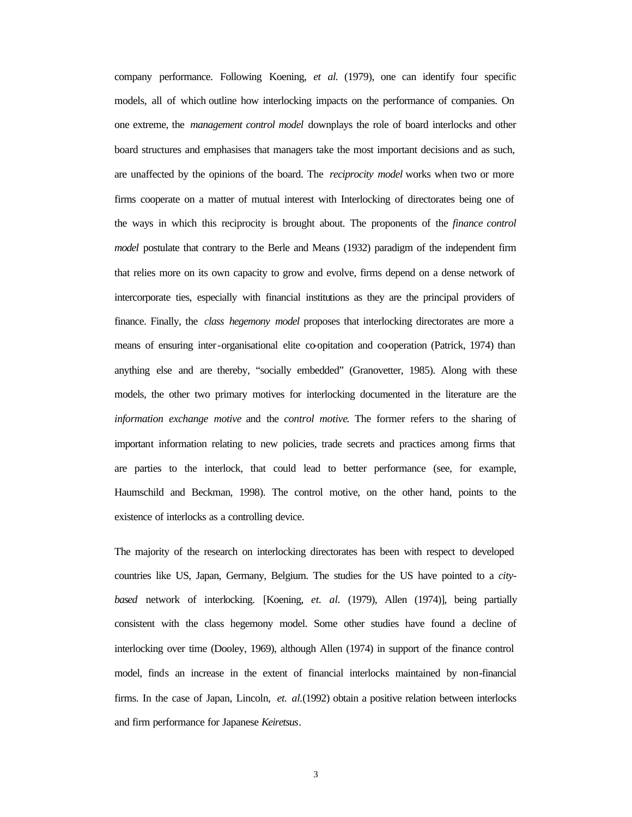company performance. Following Koening, *et al.* (1979), one can identify four specific models, all of which outline how interlocking impacts on the performance of companies. On one extreme, the *management control model* downplays the role of board interlocks and other board structures and emphasises that managers take the most important decisions and as such, are unaffected by the opinions of the board. The *reciprocity model* works when two or more firms cooperate on a matter of mutual interest with Interlocking of directorates being one of the ways in which this reciprocity is brought about. The proponents of the *finance control model* postulate that contrary to the Berle and Means (1932) paradigm of the independent firm that relies more on its own capacity to grow and evolve, firms depend on a dense network of intercorporate ties, especially with financial institutions as they are the principal providers of finance. Finally, the *class hegemony model* proposes that interlocking directorates are more a means of ensuring inter-organisational elite co-opitation and co-operation (Patrick, 1974) than anything else and are thereby, "socially embedded" (Granovetter, 1985). Along with these models, the other two primary motives for interlocking documented in the literature are the *information exchange motive* and the *control motive*. The former refers to the sharing of important information relating to new policies, trade secrets and practices among firms that are parties to the interlock, that could lead to better performance (see, for example, Haumschild and Beckman, 1998). The control motive, on the other hand, points to the existence of interlocks as a controlling device.

The majority of the research on interlocking directorates has been with respect to developed countries like US, Japan, Germany, Belgium. The studies for the US have pointed to a *citybased* network of interlocking. [Koening, *et. al.* (1979), Allen (1974)], being partially consistent with the class hegemony model. Some other studies have found a decline of interlocking over time (Dooley, 1969), although Allen (1974) in support of the finance control model, finds an increase in the extent of financial interlocks maintained by non-financial firms. In the case of Japan, Lincoln, *et. al.*(1992) obtain a positive relation between interlocks and firm performance for Japanese *Keiretsus*.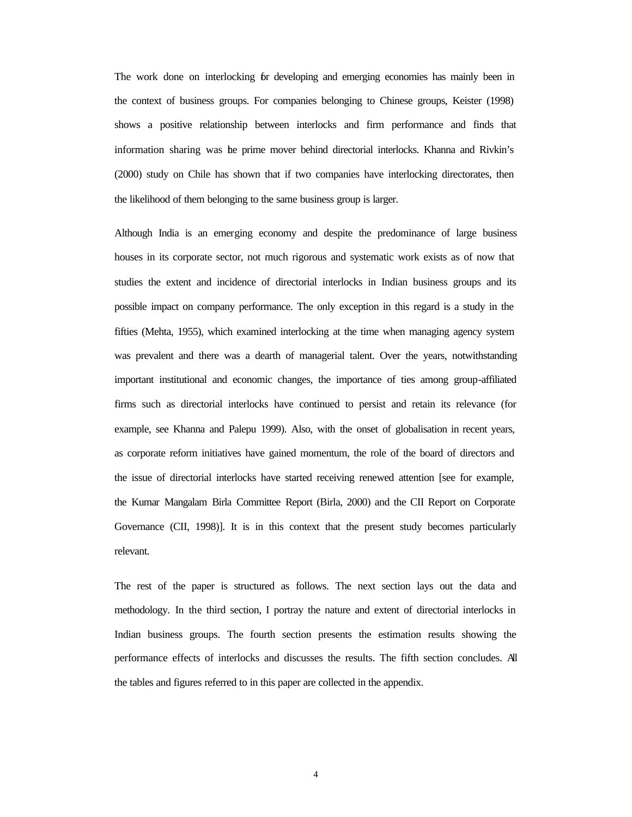The work done on interlocking for developing and emerging economies has mainly been in the context of business groups. For companies belonging to Chinese groups, Keister (1998) shows a positive relationship between interlocks and firm performance and finds that information sharing was the prime mover behind directorial interlocks. Khanna and Rivkin's (2000) study on Chile has shown that if two companies have interlocking directorates, then the likelihood of them belonging to the same business group is larger.

Although India is an emerging economy and despite the predominance of large business houses in its corporate sector, not much rigorous and systematic work exists as of now that studies the extent and incidence of directorial interlocks in Indian business groups and its possible impact on company performance. The only exception in this regard is a study in the fifties (Mehta, 1955), which examined interlocking at the time when managing agency system was prevalent and there was a dearth of managerial talent. Over the years, notwithstanding important institutional and economic changes, the importance of ties among group-affiliated firms such as directorial interlocks have continued to persist and retain its relevance (for example, see Khanna and Palepu 1999). Also, with the onset of globalisation in recent years, as corporate reform initiatives have gained momentum, the role of the board of directors and the issue of directorial interlocks have started receiving renewed attention [see for example, the Kumar Mangalam Birla Committee Report (Birla, 2000) and the CII Report on Corporate Governance (CII, 1998)]. It is in this context that the present study becomes particularly relevant.

The rest of the paper is structured as follows. The next section lays out the data and methodology. In the third section, I portray the nature and extent of directorial interlocks in Indian business groups. The fourth section presents the estimation results showing the performance effects of interlocks and discusses the results. The fifth section concludes. All the tables and figures referred to in this paper are collected in the appendix.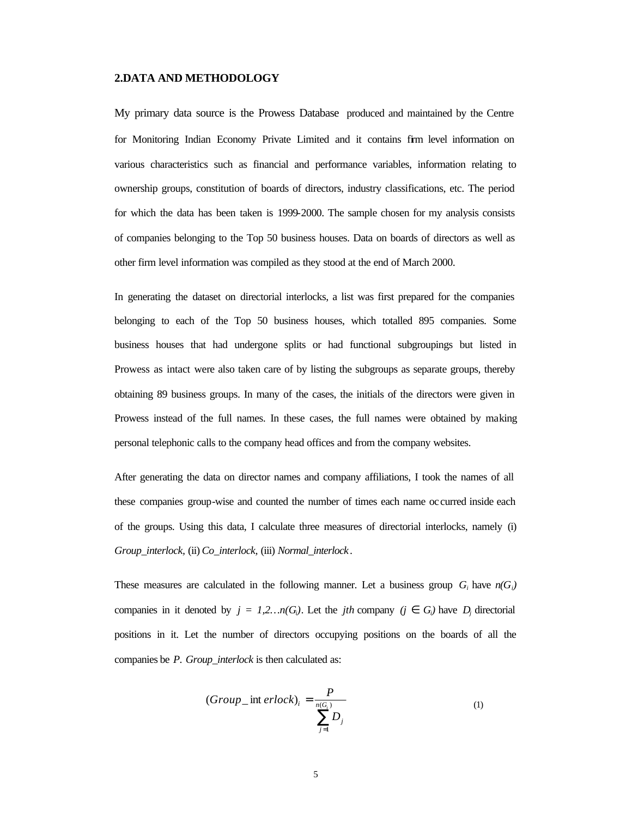### **2.DATA AND METHODOLOGY**

My primary data source is the Prowess Database produced and maintained by the Centre for Monitoring Indian Economy Private Limited and it contains firm level information on various characteristics such as financial and performance variables, information relating to ownership groups, constitution of boards of directors, industry classifications, etc. The period for which the data has been taken is 1999-2000. The sample chosen for my analysis consists of companies belonging to the Top 50 business houses. Data on boards of directors as well as other firm level information was compiled as they stood at the end of March 2000.

In generating the dataset on directorial interlocks, a list was first prepared for the companies belonging to each of the Top 50 business houses, which totalled 895 companies. Some business houses that had undergone splits or had functional subgroupings but listed in Prowess as intact were also taken care of by listing the subgroups as separate groups, thereby obtaining 89 business groups. In many of the cases, the initials of the directors were given in Prowess instead of the full names. In these cases, the full names were obtained by making personal telephonic calls to the company head offices and from the company websites.

After generating the data on director names and company affiliations, I took the names of all these companies group-wise and counted the number of times each name oc curred inside each of the groups. Using this data, I calculate three measures of directorial interlocks, namely (i) *Group\_interlock,* (ii) *Co\_interlock,* (iii) *Normal\_interlock*.

These measures are calculated in the following manner. Let a business group  $G_i$  have  $n(G_i)$ companies in it denoted by  $j = 1, 2, ..., n$  (G<sub>i</sub>). Let the *jth* company (j  $\tilde{I}$  G<sub>i</sub>) have  $D_j$  directorial positions in it. Let the number of directors occupying positions on the boards of all the companies be *P*. *Group\_interlock* is then calculated as:

$$
(Group\_int\,erlock)_i = \frac{P}{\sum_{j=1}^{n(G_i)}}\tag{1}
$$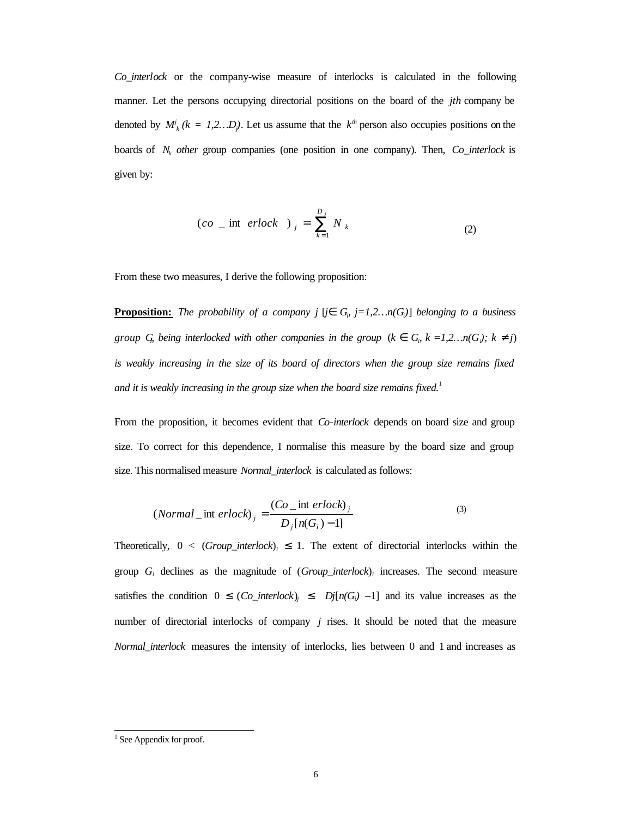*Co\_interlock* or the company-wise measure of interlocks is calculated in the following manner. Let the persons occupying directorial positions on the board of the *jth* company be denoted by  $M^j_k$  ( $k = 1, 2...D_j$ ). Let us assume that the  $k^{th}$  person also occupies positions on the boards of *N<sup>k</sup> other* group companies (one position in one company). Then, *Co\_interlock* is given by:

$$
(co \text{ int } erlock )_j = \sum_{k=1}^{D_j} N_k \tag{2}
$$

From these two measures, I derive the following proposition:

**<u>Proposition:</u>** The probability of a company  $j$   $[j\mathbf{\hat{I}} \ G_{\rho} \ j=1,2...n(G_{\rho})]$  belonging to a business *group* G<sub>*i*</sub> being interlocked with other companies in the group ( $k$   $\tilde{I}$  G<sub>*i*</sub>  $k$  =1,2…n(G<sub>*i*</sub>);  $k$  <sup>1</sup> j) *is weakly increasing in the size of its board of directors when the group size remains fixed*  and it is weakly increasing in the group size when the board size remains fixed.<sup>1</sup>

From the proposition, it becomes evident that *Co-interlock* depends on board size and group size. To correct for this dependence, I normalise this measure by the board size and group size. This normalised measure *Normal\_interlock* is calculated as follows:

$$
(Normal\_int\;erlock)_j = \frac{(Co\_int\;erlock)_j}{D_j[n(G_i)-1]}
$$
\n(3)

Theoretically*,* 0 *<* (*Group\_interlock*)*<sup>i</sup> £* 1. The extent of directorial interlocks within the group  $G_i$  declines as the magnitude of  $(Group\_interlock)_i$  increases. The second measure satisfies the condition 0 *£* (*Co\_interlock*)*j £ Dj*[*n*(*G<sub>i</sub>* $)$  –1] and its value increases as the number of directorial interlocks of company *j* rises. It should be noted that the measure *Normal\_interlock* measures the intensity of interlocks, lies between 0 and 1 and increases as

<sup>&</sup>lt;sup>1</sup> See Appendix for proof.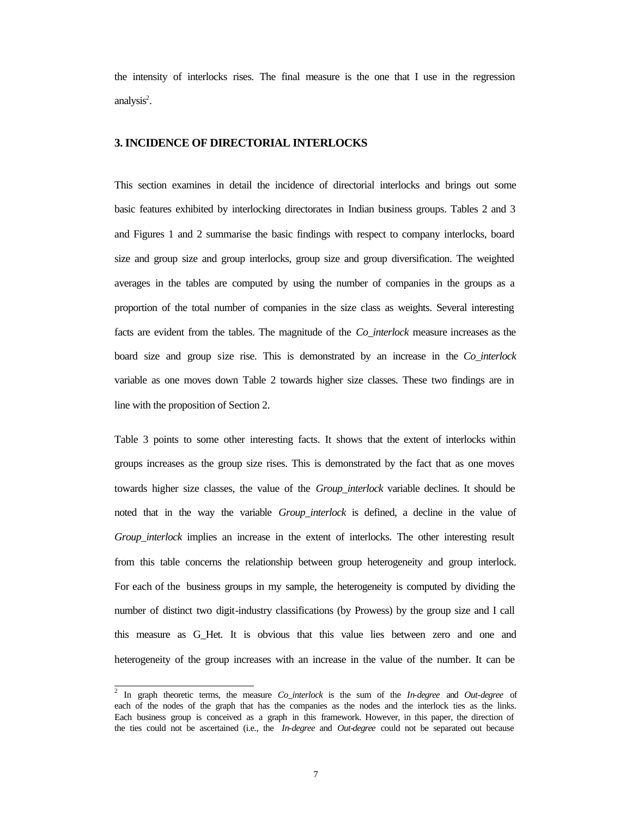the intensity of interlocks rises. The final measure is the one that I use in the regression analysis<sup>2</sup>.

# **3. INCIDENCE OF DIRECTORIAL INTERLOCKS**

This section examines in detail the incidence of directorial interlocks and brings out some basic features exhibited by interlocking directorates in Indian business groups. Tables 2 and 3 and Figures 1 and 2 summarise the basic findings with respect to company interlocks, board size and group size and group interlocks, group size and group diversification. The weighted averages in the tables are computed by using the number of companies in the groups as a proportion of the total number of companies in the size class as weights. Several interesting facts are evident from the tables. The magnitude of the *Co\_interlock* measure increases as the board size and group size rise. This is demonstrated by an increase in the *Co\_interlock* variable as one moves down Table 2 towards higher size classes. These two findings are in line with the proposition of Section 2.

Table 3 points to some other interesting facts. It shows that the extent of interlocks within groups increases as the group size rises. This is demonstrated by the fact that as one moves towards higher size classes, the value of the *Group\_interlock* variable declines. It should be noted that in the way the variable *Group\_interlock* is defined, a decline in the value of *Group\_interlock* implies an increase in the extent of interlocks. The other interesting result from this table concerns the relationship between group heterogeneity and group interlock. For each of the business groups in my sample, the heterogeneity is computed by dividing the number of distinct two digit-industry classifications (by Prowess) by the group size and I call this measure as G\_Het. It is obvious that this value lies between zero and one and heterogeneity of the group increases with an increase in the value of the number. It can be

l

<sup>2</sup> In graph theoretic terms, the measure *Co\_interlock* is the sum of the *In-degree* and *Out-degree* of each of the nodes of the graph that has the companies as the nodes and the interlock ties as the links. Each business group is conceived as a graph in this framework. However, in this paper, the direction of the ties could not be ascertained (i.e., the *In-degree* and *Out-degree* could not be separated out because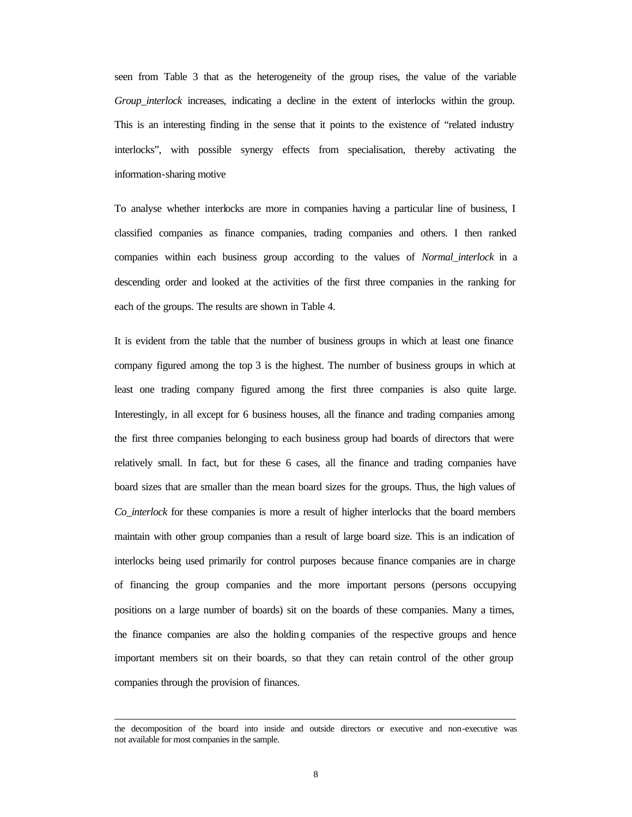seen from Table 3 that as the heterogeneity of the group rises, the value of the variable *Group\_interlock* increases, indicating a decline in the extent of interlocks within the group. This is an interesting finding in the sense that it points to the existence of "related industry interlocks", with possible synergy effects from specialisation, thereby activating the information-sharing motive

To analyse whether interlocks are more in companies having a particular line of business, I classified companies as finance companies, trading companies and others. I then ranked companies within each business group according to the values of *Normal\_interlock* in a descending order and looked at the activities of the first three companies in the ranking for each of the groups. The results are shown in Table 4.

It is evident from the table that the number of business groups in which at least one finance company figured among the top 3 is the highest. The number of business groups in which at least one trading company figured among the first three companies is also quite large. Interestingly, in all except for 6 business houses, all the finance and trading companies among the first three companies belonging to each business group had boards of directors that were relatively small. In fact, but for these 6 cases, all the finance and trading companies have board sizes that are smaller than the mean board sizes for the groups. Thus, the high values of *Co\_interlock* for these companies is more a result of higher interlocks that the board members maintain with other group companies than a result of large board size. This is an indication of interlocks being used primarily for control purposes because finance companies are in charge of financing the group companies and the more important persons (persons occupying positions on a large number of boards) sit on the boards of these companies. Many a times, the finance companies are also the holding companies of the respective groups and hence important members sit on their boards, so that they can retain control of the other group companies through the provision of finances.

l

the decomposition of the board into inside and outside directors or executive and non-executive was not available for most companies in the sample.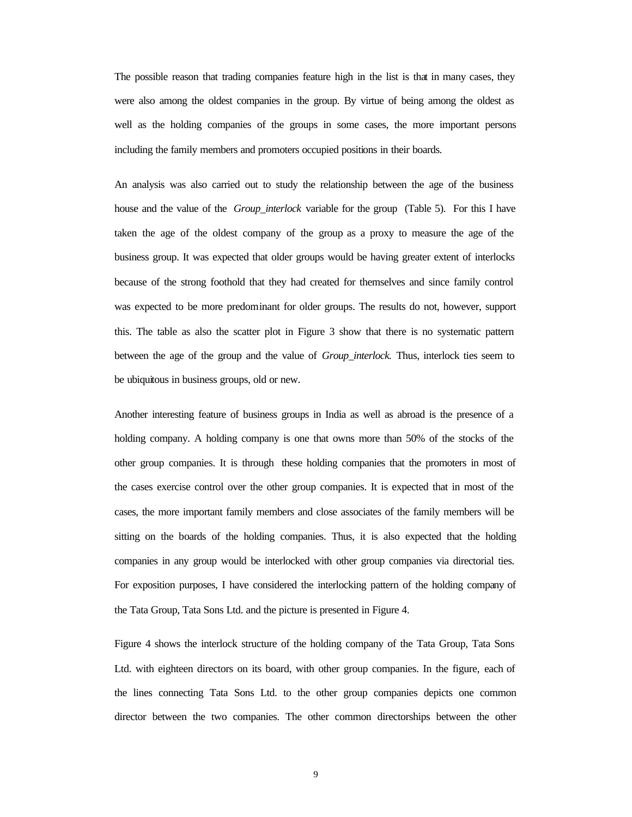The possible reason that trading companies feature high in the list is that in many cases, they were also among the oldest companies in the group. By virtue of being among the oldest as well as the holding companies of the groups in some cases, the more important persons including the family members and promoters occupied positions in their boards.

An analysis was also carried out to study the relationship between the age of the business house and the value of the *Group\_interlock* variable for the group (Table 5). For this I have taken the age of the oldest company of the group as a proxy to measure the age of the business group. It was expected that older groups would be having greater extent of interlocks because of the strong foothold that they had created for themselves and since family control was expected to be more predominant for older groups. The results do not, however, support this. The table as also the scatter plot in Figure 3 show that there is no systematic pattern between the age of the group and the value of *Group\_interlock.* Thus, interlock ties seem to be ubiquitous in business groups, old or new.

Another interesting feature of business groups in India as well as abroad is the presence of a holding company. A holding company is one that owns more than 50% of the stocks of the other group companies. It is through these holding companies that the promoters in most of the cases exercise control over the other group companies. It is expected that in most of the cases, the more important family members and close associates of the family members will be sitting on the boards of the holding companies. Thus, it is also expected that the holding companies in any group would be interlocked with other group companies via directorial ties. For exposition purposes, I have considered the interlocking pattern of the holding company of the Tata Group, Tata Sons Ltd. and the picture is presented in Figure 4.

Figure 4 shows the interlock structure of the holding company of the Tata Group, Tata Sons Ltd. with eighteen directors on its board, with other group companies. In the figure, each of the lines connecting Tata Sons Ltd. to the other group companies depicts one common director between the two companies. The other common directorships between the other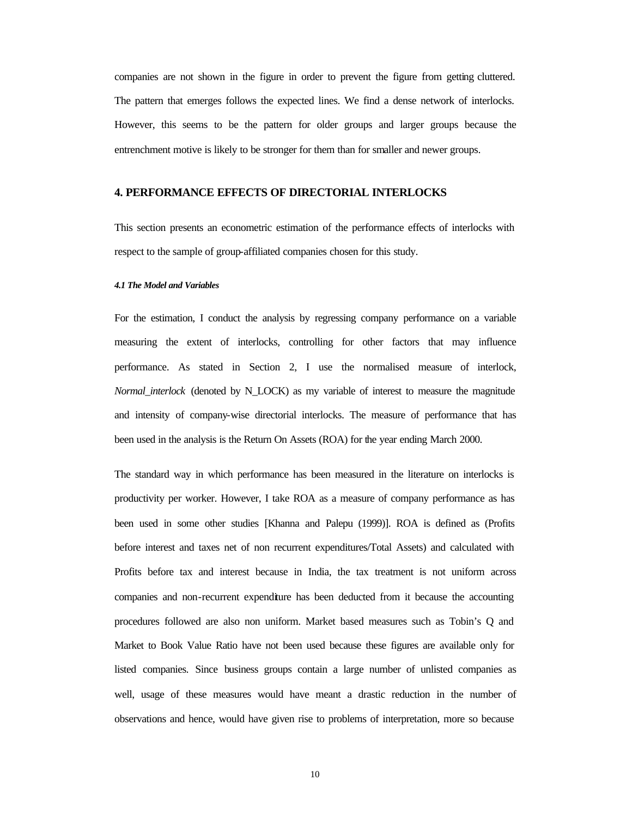companies are not shown in the figure in order to prevent the figure from getting cluttered. The pattern that emerges follows the expected lines. We find a dense network of interlocks. However, this seems to be the pattern for older groups and larger groups because the entrenchment motive is likely to be stronger for them than for smaller and newer groups.

## **4. PERFORMANCE EFFECTS OF DIRECTORIAL INTERLOCKS**

This section presents an econometric estimation of the performance effects of interlocks with respect to the sample of group-affiliated companies chosen for this study.

#### *4.1 The Model and Variables*

For the estimation, I conduct the analysis by regressing company performance on a variable measuring the extent of interlocks, controlling for other factors that may influence performance. As stated in Section 2, I use the normalised measure of interlock, *Normal\_interlock* (denoted by N\_LOCK) as my variable of interest to measure the magnitude and intensity of company-wise directorial interlocks. The measure of performance that has been used in the analysis is the Return On Assets (ROA) for the year ending March 2000.

The standard way in which performance has been measured in the literature on interlocks is productivity per worker. However, I take ROA as a measure of company performance as has been used in some other studies [Khanna and Palepu (1999)]. ROA is defined as (Profits before interest and taxes net of non recurrent expenditures/Total Assets) and calculated with Profits before tax and interest because in India, the tax treatment is not uniform across companies and non-recurrent expenditure has been deducted from it because the accounting procedures followed are also non uniform. Market based measures such as Tobin's Q and Market to Book Value Ratio have not been used because these figures are available only for listed companies. Since business groups contain a large number of unlisted companies as well, usage of these measures would have meant a drastic reduction in the number of observations and hence, would have given rise to problems of interpretation, more so because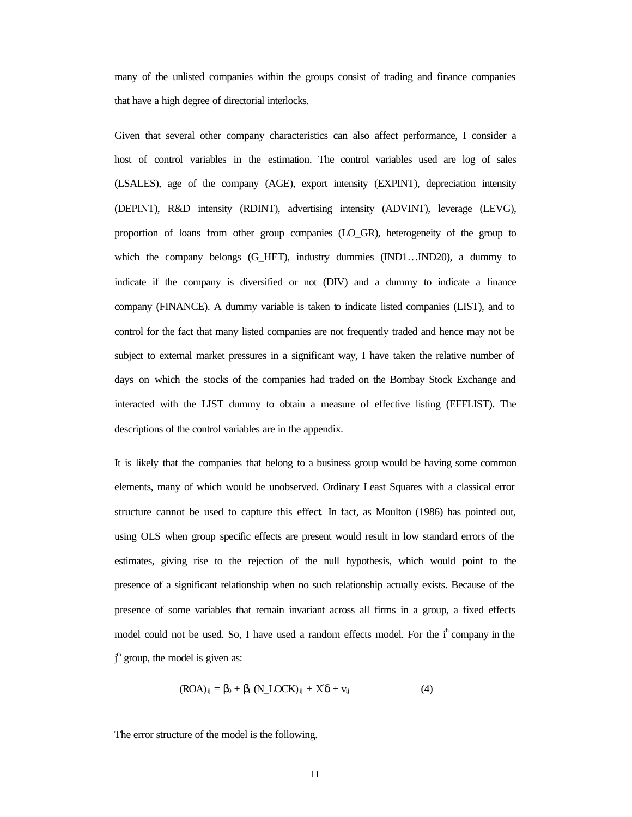many of the unlisted companies within the groups consist of trading and finance companies that have a high degree of directorial interlocks.

Given that several other company characteristics can also affect performance, I consider a host of control variables in the estimation. The control variables used are log of sales (LSALES), age of the company (AGE), export intensity (EXPINT), depreciation intensity (DEPINT), R&D intensity (RDINT), advertising intensity (ADVINT), leverage (LEVG), proportion of loans from other group companies (LO\_GR), heterogeneity of the group to which the company belongs (G\_HET), industry dummies (IND1…IND20), a dummy to indicate if the company is diversified or not (DIV) and a dummy to indicate a finance company (FINANCE). A dummy variable is taken to indicate listed companies (LIST), and to control for the fact that many listed companies are not frequently traded and hence may not be subject to external market pressures in a significant way, I have taken the relative number of days on which the stocks of the companies had traded on the Bombay Stock Exchange and interacted with the LIST dummy to obtain a measure of effective listing (EFFLIST). The descriptions of the control variables are in the appendix.

It is likely that the companies that belong to a business group would be having some common elements, many of which would be unobserved. Ordinary Least Squares with a classical error structure cannot be used to capture this effect**.** In fact, as Moulton (1986) has pointed out, using OLS when group specific effects are present would result in low standard errors of the estimates, giving rise to the rejection of the null hypothesis, which would point to the presence of a significant relationship when no such relationship actually exists. Because of the presence of some variables that remain invariant across all firms in a group, a fixed effects model could not be used. So, I have used a random effects model. For the  $i<sup>th</sup>$  company in the j th group, the model is given as:

$$
(ROA)_{ij} = \beta_0 + \beta_I (N\_LOCK)_{ij} + X\delta + v_{ij}
$$
 (4)

The error structure of the model is the following.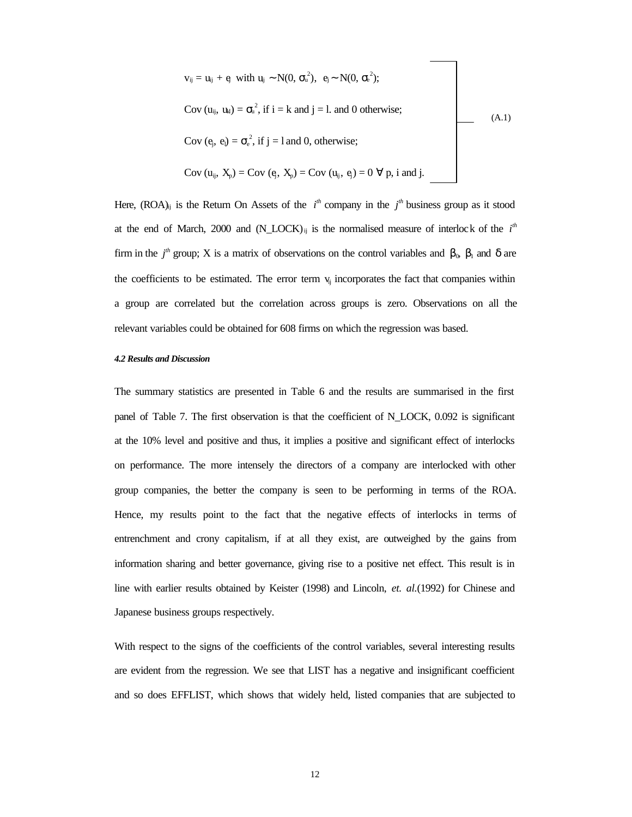$$
v_{ij} = u_{ij} + e_j \text{ with } u_{j} \sim N(0, \sigma_u^2), e_j \sim N(0, \sigma_e^2);
$$
  
\n
$$
Cov (u_{ij}, u_{kl}) = \sigma_u^2, \text{ if } i = k \text{ and } j = l. \text{ and } 0 \text{ otherwise;}
$$
  
\n
$$
Cov (e_j, e_l) = \sigma_e^2, \text{ if } j = l \text{ and } 0, \text{ otherwise;}
$$
  
\n
$$
Cov (u_{ij}, X_p) = Cov (e_j, X_p) = Cov (u_{ij}, e_j) = 0 \forall p, i \text{ and } j.
$$
\n(A.1)

Here,  $(ROA)_{ij}$  is the Return On Assets of the  $i<sup>th</sup>$  company in the  $j<sup>th</sup>$  business group as it stood at the end of March, 2000 and  $(N\_LOCAL)_{ij}$  is the normalised measure of interlock of the  $i<sup>th</sup>$ firm in the  $j<sup>th</sup>$  group; X is a matrix of observations on the control variables and  $\beta_0$ ,  $\beta_1$  and  $\delta$  are the coefficients to be estimated. The error term  $v_{ii}$  incorporates the fact that companies within a group are correlated but the correlation across groups is zero. Observations on all the relevant variables could be obtained for 608 firms on which the regression was based.

#### *4.2 Results and Discussion*

The summary statistics are presented in Table 6 and the results are summarised in the first panel of Table 7. The first observation is that the coefficient of N\_LOCK, 0.092 is significant at the 10% level and positive and thus, it implies a positive and significant effect of interlocks on performance. The more intensely the directors of a company are interlocked with other group companies, the better the company is seen to be performing in terms of the ROA. Hence, my results point to the fact that the negative effects of interlocks in terms of entrenchment and crony capitalism, if at all they exist, are outweighed by the gains from information sharing and better governance, giving rise to a positive net effect. This result is in line with earlier results obtained by Keister (1998) and Lincoln, *et. al.*(1992) for Chinese and Japanese business groups respectively.

With respect to the signs of the coefficients of the control variables, several interesting results are evident from the regression. We see that LIST has a negative and insignificant coefficient and so does EFFLIST, which shows that widely held, listed companies that are subjected to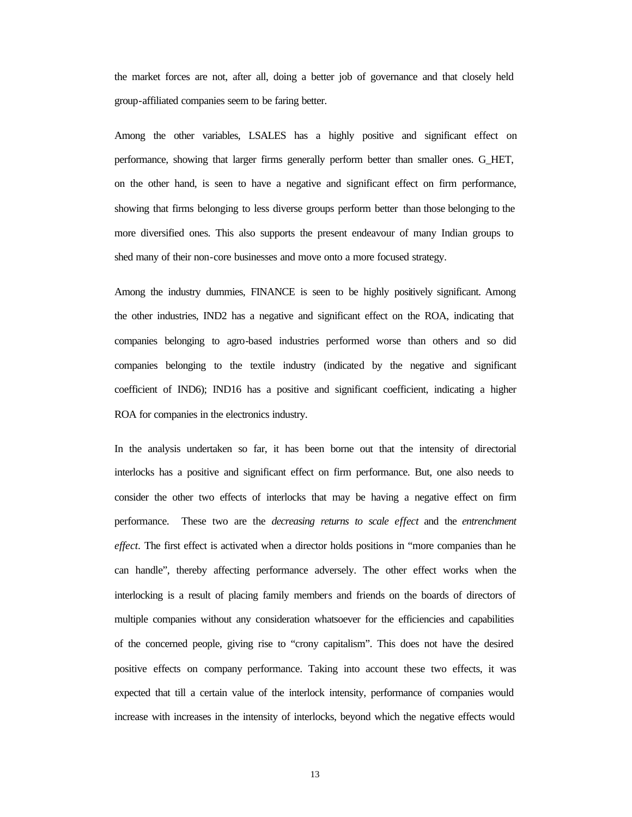the market forces are not, after all, doing a better job of governance and that closely held group-affiliated companies seem to be faring better.

Among the other variables, LSALES has a highly positive and significant effect on performance, showing that larger firms generally perform better than smaller ones. G\_HET, on the other hand, is seen to have a negative and significant effect on firm performance, showing that firms belonging to less diverse groups perform better than those belonging to the more diversified ones. This also supports the present endeavour of many Indian groups to shed many of their non-core businesses and move onto a more focused strategy.

Among the industry dummies, FINANCE is seen to be highly positively significant. Among the other industries, IND2 has a negative and significant effect on the ROA, indicating that companies belonging to agro-based industries performed worse than others and so did companies belonging to the textile industry (indicated by the negative and significant coefficient of IND6); IND16 has a positive and significant coefficient, indicating a higher ROA for companies in the electronics industry.

In the analysis undertaken so far, it has been borne out that the intensity of directorial interlocks has a positive and significant effect on firm performance. But, one also needs to consider the other two effects of interlocks that may be having a negative effect on firm performance. These two are the *decreasing returns to scale effect* and the *entrenchment effect.* The first effect is activated when a director holds positions in "more companies than he can handle", thereby affecting performance adversely. The other effect works when the interlocking is a result of placing family members and friends on the boards of directors of multiple companies without any consideration whatsoever for the efficiencies and capabilities of the concerned people, giving rise to "crony capitalism". This does not have the desired positive effects on company performance. Taking into account these two effects, it was expected that till a certain value of the interlock intensity, performance of companies would increase with increases in the intensity of interlocks, beyond which the negative effects would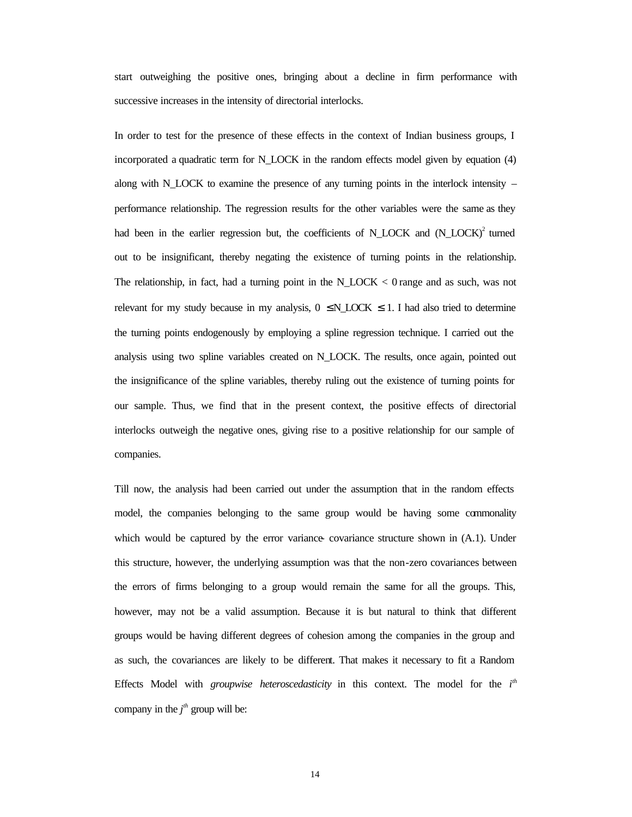start outweighing the positive ones, bringing about a decline in firm performance with successive increases in the intensity of directorial interlocks.

In order to test for the presence of these effects in the context of Indian business groups, I incorporated a quadratic term for N\_LOCK in the random effects model given by equation (4) along with N\_LOCK to examine the presence of any turning points in the interlock intensity – performance relationship. The regression results for the other variables were the same as they had been in the earlier regression but, the coefficients of N\_LOCK and (N\_LOCK)<sup>2</sup> turned out to be insignificant, thereby negating the existence of turning points in the relationship. The relationship, in fact, had a turning point in the N\_LOCK < 0 range and as such, was not relevant for my study because in my analysis,  $0 \le N$  LOCK  $\le 1$ . I had also tried to determine the turning points endogenously by employing a spline regression technique. I carried out the analysis using two spline variables created on N\_LOCK. The results, once again, pointed out the insignificance of the spline variables, thereby ruling out the existence of turning points for our sample. Thus, we find that in the present context, the positive effects of directorial interlocks outweigh the negative ones, giving rise to a positive relationship for our sample of companies.

Till now, the analysis had been carried out under the assumption that in the random effects model, the companies belonging to the same group would be having some commonality which would be captured by the error variance- covariance structure shown in  $(A.1)$ . Under this structure, however, the underlying assumption was that the non-zero covariances between the errors of firms belonging to a group would remain the same for all the groups. This, however, may not be a valid assumption. Because it is but natural to think that different groups would be having different degrees of cohesion among the companies in the group and as such, the covariances are likely to be different. That makes it necessary to fit a Random Effects Model with *groupwise heteroscedasticity* in this context. The model for the *i*<sup>th</sup> company in the  $j<sup>th</sup>$  group will be: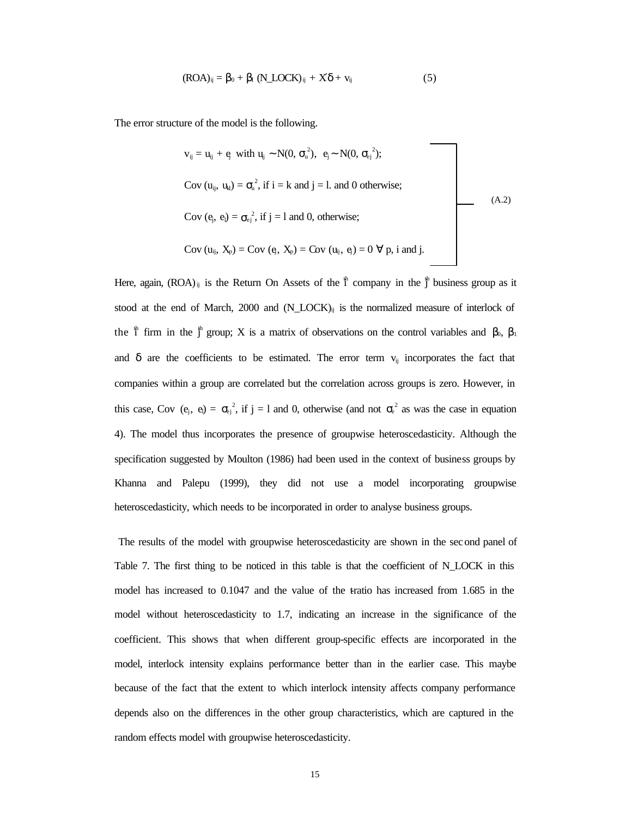$$
(ROA)_{ij} = \beta_0 + \beta_I (N\_LOCK)_{ij} + X\delta + v_{ij}
$$
 (5)

The error structure of the model is the following.

$$
v_{ij} = u_{ij} + e_j \text{ with } u_{ij} \sim N(0, \sigma_u^2), e_j \sim N(0, \sigma_{ej}^2);
$$
  
\nCov  $(u_{ij}, u_{kl}) = \sigma_u^2$ , if  $i = k$  and  $j = 1$  and 0 otherwise;  
\nCov  $(e_j, e_l) = \sigma_{ej}^2$ , if  $j = 1$  and 0, otherwise;  
\nCov  $(u_{ij}, X_p) = \text{Cov } (e_j, X_p) = \text{Cov } (u_{ij}, e_j) = 0 \forall p, i \text{ and } j.$  (A.2)

Here, again,  $(ROA)_{ij}$  is the Return On Assets of the  $\sharp$ <sup>h</sup> company in the  $\sharp$ <sup>h</sup> business group as it stood at the end of March, 2000 and  $(N\_LOCAL)_{ii}$  is the normalized measure of interlock of the  $\frac{4}{1}$  firm in the  $\frac{4}{1}$  group; X is a matrix of observations on the control variables and β<sub>0</sub>, β<sub>1</sub> and  $\delta$  are the coefficients to be estimated. The error term  $v_{ij}$  incorporates the fact that companies within a group are correlated but the correlation across groups is zero. However, in this case, Cov  $(e_j, e_l) = \sigma_{e_j}^2$ , if  $j = l$  and 0, otherwise (and not  $\sigma_e^2$  as was the case in equation 4). The model thus incorporates the presence of groupwise heteroscedasticity. Although the specification suggested by Moulton (1986) had been used in the context of business groups by Khanna and Palepu (1999), they did not use a model incorporating groupwise heteroscedasticity, which needs to be incorporated in order to analyse business groups.

 The results of the model with groupwise heteroscedasticity are shown in the second panel of Table 7. The first thing to be noticed in this table is that the coefficient of N\_LOCK in this model has increased to 0.1047 and the value of the tratio has increased from 1.685 in the model without heteroscedasticity to 1.7, indicating an increase in the significance of the coefficient. This shows that when different group-specific effects are incorporated in the model, interlock intensity explains performance better than in the earlier case. This maybe because of the fact that the extent to which interlock intensity affects company performance depends also on the differences in the other group characteristics, which are captured in the random effects model with groupwise heteroscedasticity.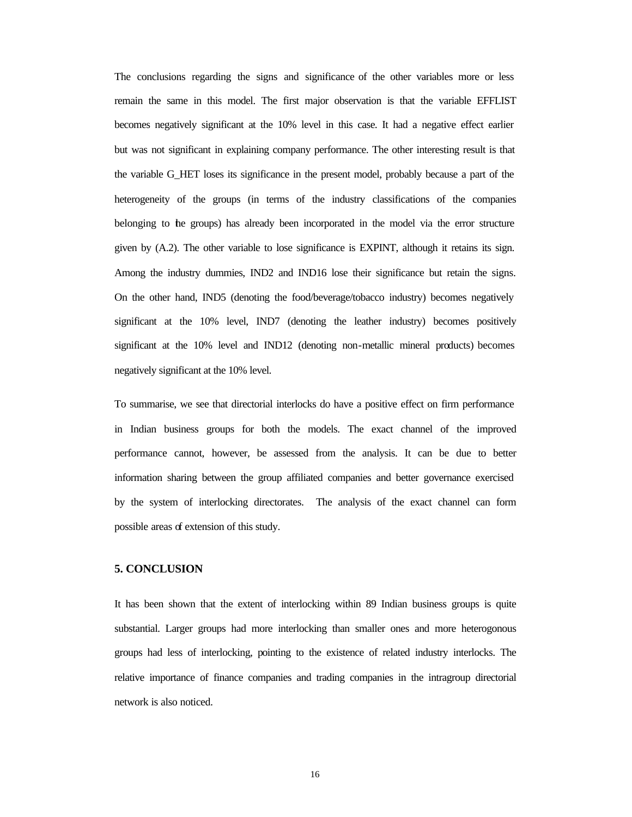The conclusions regarding the signs and significance of the other variables more or less remain the same in this model. The first major observation is that the variable EFFLIST becomes negatively significant at the 10% level in this case. It had a negative effect earlier but was not significant in explaining company performance. The other interesting result is that the variable G\_HET loses its significance in the present model, probably because a part of the heterogeneity of the groups (in terms of the industry classifications of the companies belonging to the groups) has already been incorporated in the model via the error structure given by (A.2). The other variable to lose significance is EXPINT, although it retains its sign. Among the industry dummies, IND2 and IND16 lose their significance but retain the signs. On the other hand, IND5 (denoting the food/beverage/tobacco industry) becomes negatively significant at the 10% level, IND7 (denoting the leather industry) becomes positively significant at the 10% level and IND12 (denoting non-metallic mineral products) becomes negatively significant at the 10% level.

To summarise, we see that directorial interlocks do have a positive effect on firm performance in Indian business groups for both the models. The exact channel of the improved performance cannot, however, be assessed from the analysis. It can be due to better information sharing between the group affiliated companies and better governance exercised by the system of interlocking directorates. The analysis of the exact channel can form possible areas of extension of this study.

# **5. CONCLUSION**

It has been shown that the extent of interlocking within 89 Indian business groups is quite substantial. Larger groups had more interlocking than smaller ones and more heterogonous groups had less of interlocking, pointing to the existence of related industry interlocks. The relative importance of finance companies and trading companies in the intragroup directorial network is also noticed.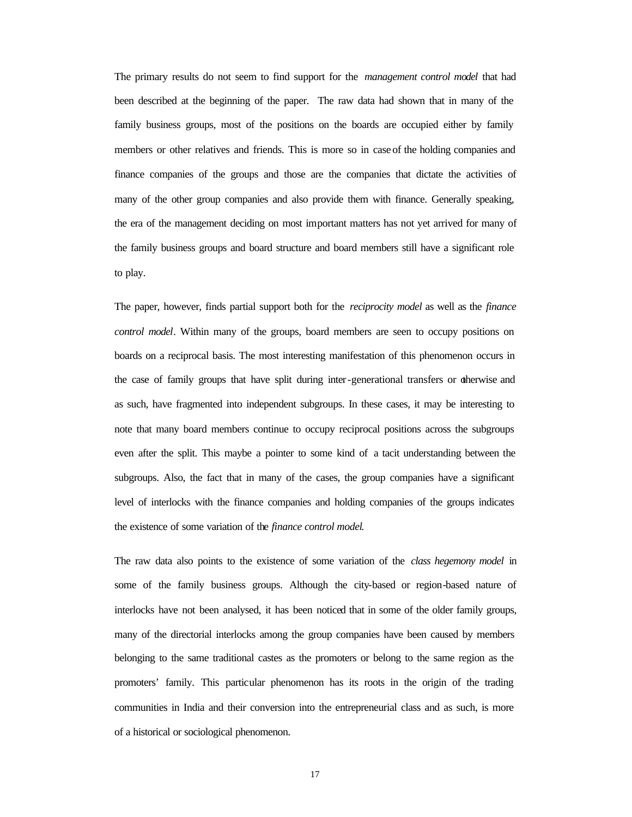The primary results do not seem to find support for the *management control model* that had been described at the beginning of the paper. The raw data had shown that in many of the family business groups, most of the positions on the boards are occupied either by family members or other relatives and friends. This is more so in case of the holding companies and finance companies of the groups and those are the companies that dictate the activities of many of the other group companies and also provide them with finance. Generally speaking, the era of the management deciding on most important matters has not yet arrived for many of the family business groups and board structure and board members still have a significant role to play.

The paper, however, finds partial support both for the *reciprocity model* as well as the *finance control model*. Within many of the groups, board members are seen to occupy positions on boards on a reciprocal basis. The most interesting manifestation of this phenomenon occurs in the case of family groups that have split during inter-generational transfers or otherwise and as such, have fragmented into independent subgroups. In these cases, it may be interesting to note that many board members continue to occupy reciprocal positions across the subgroups even after the split. This maybe a pointer to some kind of a tacit understanding between the subgroups. Also, the fact that in many of the cases, the group companies have a significant level of interlocks with the finance companies and holding companies of the groups indicates the existence of some variation of the *finance control model*.

The raw data also points to the existence of some variation of the *class hegemony model* in some of the family business groups. Although the city-based or region-based nature of interlocks have not been analysed, it has been noticed that in some of the older family groups, many of the directorial interlocks among the group companies have been caused by members belonging to the same traditional castes as the promoters or belong to the same region as the promoters' family. This particular phenomenon has its roots in the origin of the trading communities in India and their conversion into the entrepreneurial class and as such, is more of a historical or sociological phenomenon.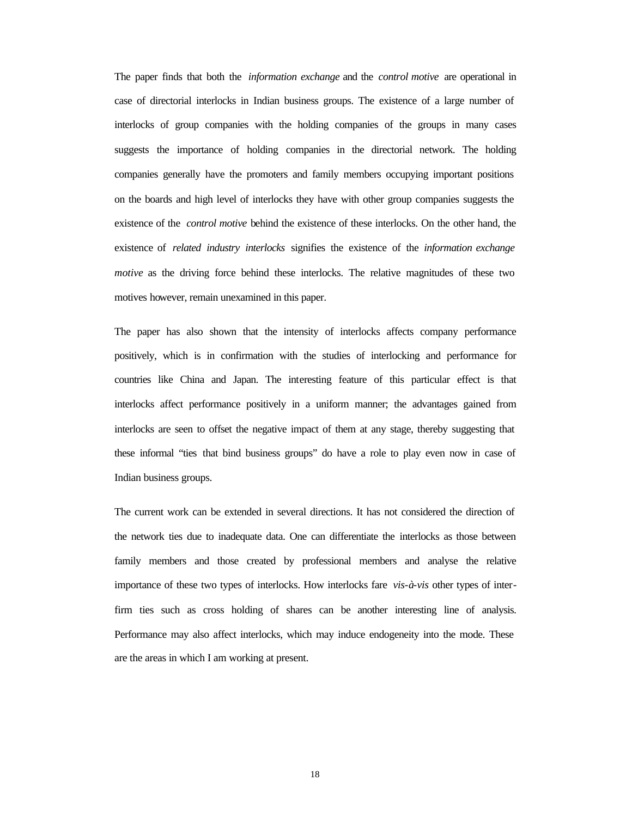The paper finds that both the *information exchange* and the *control motive* are operational in case of directorial interlocks in Indian business groups. The existence of a large number of interlocks of group companies with the holding companies of the groups in many cases suggests the importance of holding companies in the directorial network. The holding companies generally have the promoters and family members occupying important positions on the boards and high level of interlocks they have with other group companies suggests the existence of the *control motive* behind the existence of these interlocks. On the other hand, the existence of *related industry interlocks* signifies the existence of the *information exchange motive* as the driving force behind these interlocks. The relative magnitudes of these two motives however, remain unexamined in this paper.

The paper has also shown that the intensity of interlocks affects company performance positively, which is in confirmation with the studies of interlocking and performance for countries like China and Japan. The interesting feature of this particular effect is that interlocks affect performance positively in a uniform manner; the advantages gained from interlocks are seen to offset the negative impact of them at any stage, thereby suggesting that these informal "ties that bind business groups" do have a role to play even now in case of Indian business groups.

The current work can be extended in several directions. It has not considered the direction of the network ties due to inadequate data. One can differentiate the interlocks as those between family members and those created by professional members and analyse the relative importance of these two types of interlocks. How interlocks fare *vis-à-vis* other types of interfirm ties such as cross holding of shares can be another interesting line of analysis. Performance may also affect interlocks, which may induce endogeneity into the mode. These are the areas in which I am working at present.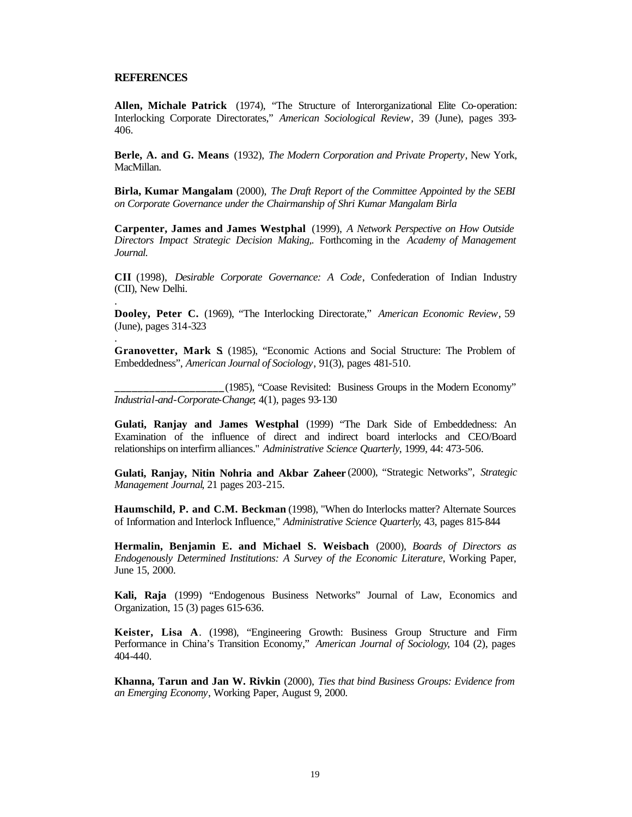### **REFERENCES**

.

.

**Allen, Michale Patrick** (1974), "The Structure of Interorganizational Elite Co-operation: Interlocking Corporate Directorates," *American Sociological Review*, 39 (June), pages 393- 406.

**Berle, A. and G. Means** (1932), *The Modern Corporation and Private Property*, New York, MacMillan.

**Birla, Kumar Mangalam** (2000), *The Draft Report of the Committee Appointed by the SEBI on Corporate Governance under the Chairmanship of Shri Kumar Mangalam Birla*

**Carpenter, James and James Westphal** (1999), *A Network Perspective on How Outside Directors Impact Strategic Decision Making,.* Forthcoming in the *Academy of Management Journal.*

**CII** (1998), *Desirable Corporate Governance: A Code*, Confederation of Indian Industry (CII), New Delhi.

**Dooley, Peter C.** (1969), "The Interlocking Directorate," *American Economic Review*, 59 (June), pages 314-323

**Granovetter, Mark S**. (1985), "Economic Actions and Social Structure: The Problem of Embeddedness", *American Journal of Sociology*, 91(3), pages 481-510.

**\_\_\_\_\_\_\_\_\_\_\_\_\_\_\_\_\_\_\_**(1985), "Coase Revisited: Business Groups in the Modern Economy" *Industrial-and-Corporate-Change*; 4(1), pages 93-130

**Gulati, Ranjay and James Westphal** (1999) "The Dark Side of Embeddedness: An Examination of the influence of direct and indirect board interlocks and CEO/Board relationships on interfirm alliances." *Administrative Science Quarterly*, 1999, 44: 473-506.

**Gulati, Ranjay, Nitin Nohria and Akbar Zaheer** (2000), "Strategic Networks", *Strategic Management Journal*, 21 pages 203-215.

**Haumschild, P. and C.M. Beckman** (1998), "When do Interlocks matter? Alternate Sources of Information and Interlock Influence," *Administrative Science Quarterly*, 43, pages 815-844

**Hermalin, Benjamin E. and Michael S. Weisbach** (2000), *Boards of Directors as Endogenously Determined Institutions: A Survey of the Economic Literature*, Working Paper, June 15, 2000.

**Kali, Raja** (1999) "Endogenous Business Networks" Journal of Law, Economics and Organization, 15 (3) pages 615-636.

**Keister, Lisa A**. (1998), "Engineering Growth: Business Group Structure and Firm Performance in China's Transition Economy," *American Journal of Sociology*, 104 (2), pages 404-440.

**Khanna, Tarun and Jan W. Rivkin** (2000), *Ties that bind Business Groups: Evidence from an Emerging Economy*, Working Paper, August 9, 2000.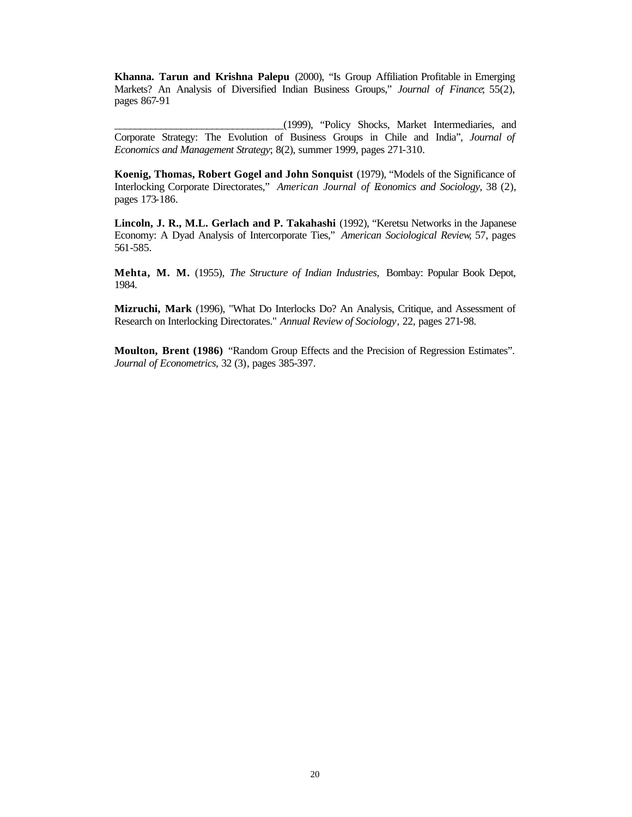**Khanna. Tarun and Krishna Palepu** (2000), "Is Group Affiliation Profitable in Emerging Markets? An Analysis of Diversified Indian Business Groups," *Journal of Finance*; 55(2), pages 867-91

\_\_\_\_\_\_\_\_\_\_\_\_\_\_\_\_\_\_\_\_\_\_\_\_\_\_\_\_\_\_\_\_\_(1999), "Policy Shocks, Market Intermediaries, and Corporate Strategy: The Evolution of Business Groups in Chile and India", *Journal of Economics and Management Strategy*; 8(2), summer 1999, pages 271-310.

**Koenig, Thomas, Robert Gogel and John Sonquist** (1979), "Models of the Significance of Interlocking Corporate Directorates," *American Journal of Economics and Sociology*, 38 (2), pages 173-186.

**Lincoln, J. R., M.L. Gerlach and P. Takahashi** (1992), "Keretsu Networks in the Japanese Economy: A Dyad Analysis of Intercorporate Ties," *American Sociological Review*, 57, pages 561-585.

**Mehta, M. M.** (1955), *The Structure of Indian Industries,* Bombay: Popular Book Depot, 1984.

**Mizruchi, Mark** (1996), "What Do Interlocks Do? An Analysis, Critique, and Assessment of Research on Interlocking Directorates." *Annual Review of Sociology*, 22, pages 271-98.

**Moulton, Brent (1986)** "Random Group Effects and the Precision of Regression Estimates". *Journal of Econometrics,* 32 (3)*,* pages 385-397.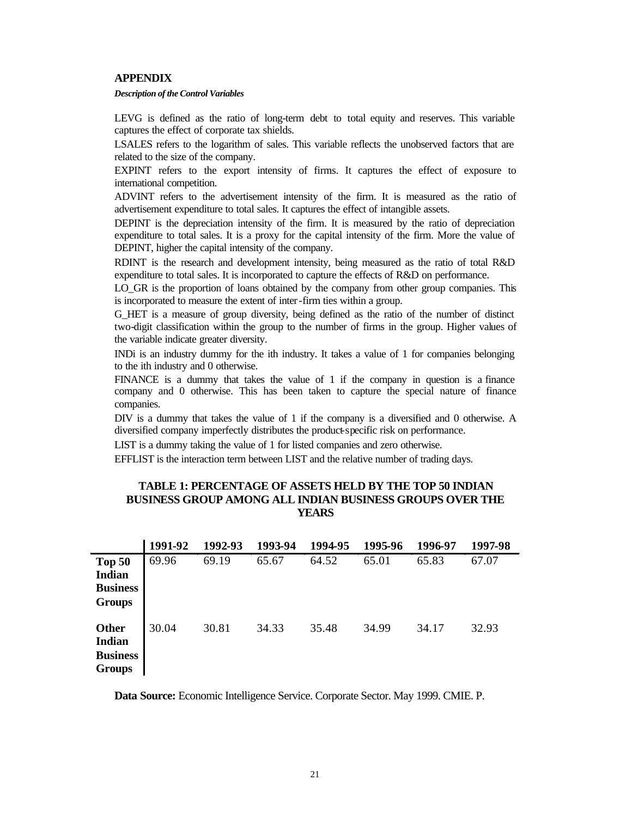## **APPENDIX**

#### *Description of the Control Variables*

LEVG is defined as the ratio of long-term debt to total equity and reserves. This variable captures the effect of corporate tax shields.

LSALES refers to the logarithm of sales. This variable reflects the unobserved factors that are related to the size of the company.

EXPINT refers to the export intensity of firms. It captures the effect of exposure to international competition.

ADVINT refers to the advertisement intensity of the firm. It is measured as the ratio of advertisement expenditure to total sales. It captures the effect of intangible assets.

DEPINT is the depreciation intensity of the firm. It is measured by the ratio of depreciation expenditure to total sales. It is a proxy for the capital intensity of the firm. More the value of DEPINT, higher the capital intensity of the company.

RDINT is the research and development intensity, being measured as the ratio of total R&D expenditure to total sales. It is incorporated to capture the effects of R&D on performance.

LO GR is the proportion of loans obtained by the company from other group companies. This is incorporated to measure the extent of inter-firm ties within a group.

G\_HET is a measure of group diversity, being defined as the ratio of the number of distinct two-digit classification within the group to the number of firms in the group. Higher values of the variable indicate greater diversity.

INDi is an industry dummy for the ith industry. It takes a value of 1 for companies belonging to the ith industry and 0 otherwise.

FINANCE is a dummy that takes the value of 1 if the company in question is a finance company and 0 otherwise. This has been taken to capture the special nature of finance companies.

DIV is a dummy that takes the value of 1 if the company is a diversified and 0 otherwise. A diversified company imperfectly distributes the product-specific risk on performance.

LIST is a dummy taking the value of 1 for listed companies and zero otherwise.

EFFLIST is the interaction term between LIST and the relative number of trading days.

# **TABLE 1: PERCENTAGE OF ASSETS HELD BY THE TOP 50 INDIAN BUSINESS GROUP AMONG ALL INDIAN BUSINESS GROUPS OVER THE YEARS**

|                                                             | 1991-92 | 1992-93 | 1993-94 | 1994-95 | 1995-96 | 1996-97 | 1997-98 |
|-------------------------------------------------------------|---------|---------|---------|---------|---------|---------|---------|
| Top 50<br><b>Indian</b><br><b>Business</b><br><b>Groups</b> | 69.96   | 69.19   | 65.67   | 64.52   | 65.01   | 65.83   | 67.07   |
| Other<br><b>Indian</b><br><b>Business</b><br><b>Groups</b>  | 30.04   | 30.81   | 34.33   | 35.48   | 34.99   | 34.17   | 32.93   |

**Data Source:** Economic Intelligence Service. Corporate Sector. May 1999. CMIE. P.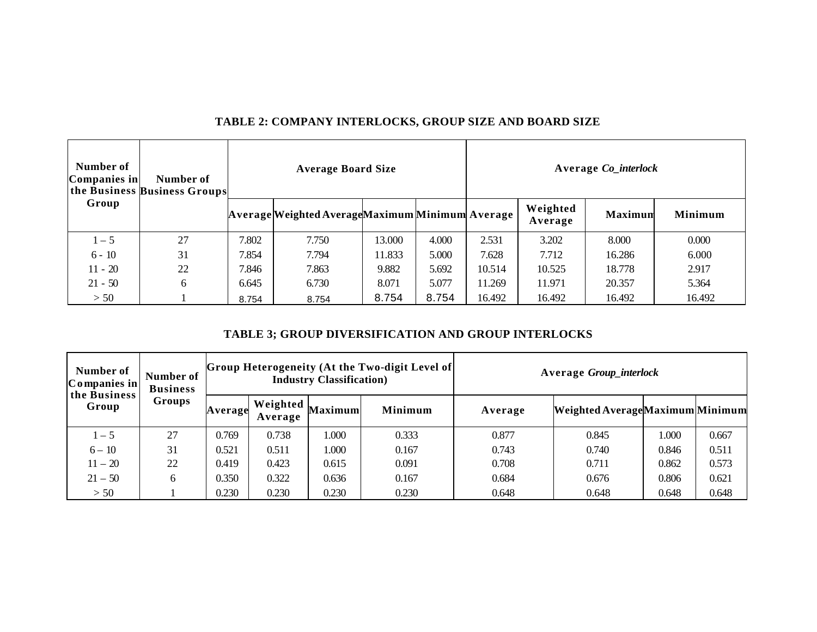| Number of<br>Companies in | Number of<br>the Business Business Groups | <b>Average Board Size</b> |                                                  |        |       | Average Co_interlock |                     |                |         |
|---------------------------|-------------------------------------------|---------------------------|--------------------------------------------------|--------|-------|----------------------|---------------------|----------------|---------|
| Group                     |                                           |                           | Average Weighted Average Maximum Minimum Average |        |       |                      | Weighted<br>Average | <b>Maximum</b> | Minimum |
| $1 - 5$                   | 27                                        | 7.802                     | 7.750                                            | 13.000 | 4.000 | 2.531                | 3.202               | 8.000          | 0.000   |
| $6 - 10$                  | 31                                        | 7.854                     | 7.794                                            | 11.833 | 5.000 | 7.628                | 7.712               | 16.286         | 6.000   |
| $11 - 20$                 | 22                                        | 7.846                     | 7.863                                            | 9.882  | 5.692 | 10.514               | 10.525              | 18.778         | 2.917   |
| $21 - 50$                 | 6                                         | 6.645                     | 6.730                                            | 8.071  | 5.077 | 11.269               | 11.971              | 20.357         | 5.364   |
| > 50                      |                                           | 8.754                     | 8.754                                            | 8.754  | 8.754 | 16.492               | 16.492              | 16.492         | 16.492  |

# **TABLE 2: COMPANY INTERLOCKS, GROUP SIZE AND BOARD SIZE**

# **TABLE 3; GROUP DIVERSIFICATION AND GROUP INTERLOCKS**

| Number of<br>$\lfloor$ Companies in | Number of<br><b>Business</b> | Group Heterogeneity (At the Two-digit Level of<br><b>Industry Classification</b> ) |                     |                |                | <b>Average Group_interlock</b> |                                 |       |       |
|-------------------------------------|------------------------------|------------------------------------------------------------------------------------|---------------------|----------------|----------------|--------------------------------|---------------------------------|-------|-------|
| the Business<br>Group               | <b>Groups</b>                | Average                                                                            | Weighted<br>Average | <b>Maximum</b> | <b>Minimum</b> | Average                        | Weighted AverageMaximum Minimum |       |       |
| $1 - 5$                             | 27                           | 0.769                                                                              | 0.738               | 000.           | 0.333          | 0.877                          | 0.845                           | 1.000 | 0.667 |
| $6 - 10$                            | 31                           | 0.521                                                                              | 0.511               | 000.1          | 0.167          | 0.743                          | 0.740                           | 0.846 | 0.511 |
| $11 - 20$                           | 22                           | 0.419                                                                              | 0.423               | 0.615          | 0.091          | 0.708                          | 0.711                           | 0.862 | 0.573 |
| $21 - 50$                           | 6                            | 0.350                                                                              | 0.322               | 0.636          | 0.167          | 0.684                          | 0.676                           | 0.806 | 0.621 |
| > 50                                |                              | 0.230                                                                              | 0.230               | 0.230          | 0.230          | 0.648                          | 0.648                           | 0.648 | 0.648 |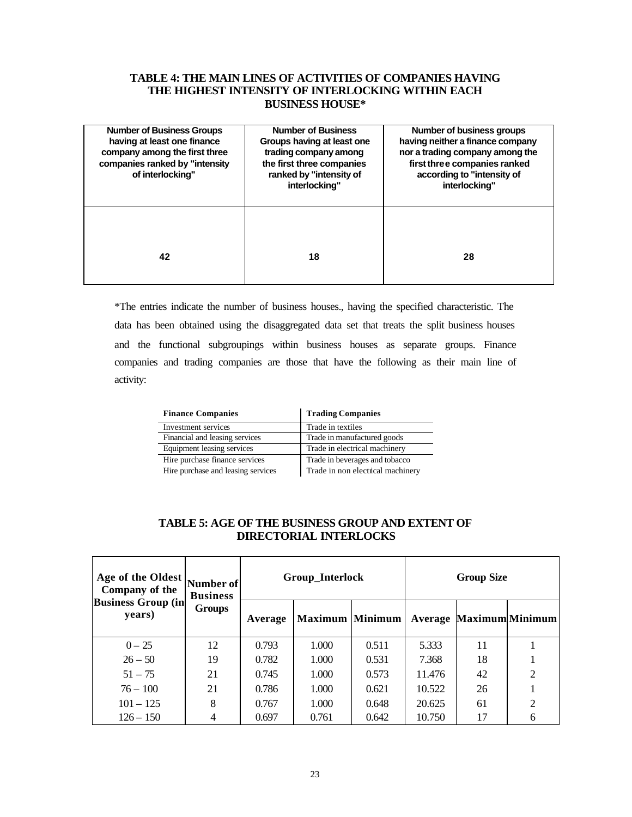# **TABLE 4: THE MAIN LINES OF ACTIVITIES OF COMPANIES HAVING THE HIGHEST INTENSITY OF INTERLOCKING WITHIN EACH BUSINESS HOUSE\***

| <b>Number of Business Groups</b><br>having at least one finance<br>company among the first three<br>companies ranked by "intensity<br>of interlocking" | <b>Number of Business</b><br>Groups having at least one<br>trading company among<br>the first three companies<br>ranked by "intensity of<br>interlocking" | Number of business groups<br>having neither a finance company<br>nor a trading company among the<br>first three companies ranked<br>according to "intensity of<br>interlocking" |  |  |
|--------------------------------------------------------------------------------------------------------------------------------------------------------|-----------------------------------------------------------------------------------------------------------------------------------------------------------|---------------------------------------------------------------------------------------------------------------------------------------------------------------------------------|--|--|
| 42                                                                                                                                                     | 18                                                                                                                                                        | 28                                                                                                                                                                              |  |  |

\*The entries indicate the number of business houses., having the specified characteristic. The data has been obtained using the disaggregated data set that treats the split business houses and the functional subgroupings within business houses as separate groups. Finance companies and trading companies are those that have the following as their main line of activity:

| <b>Finance Companies</b>           | <b>Trading Companies</b>          |
|------------------------------------|-----------------------------------|
| Investment services                | Trade in textiles                 |
| Financial and leasing services     | Trade in manufactured goods       |
| Equipment leasing services         | Trade in electrical machinery     |
| Hire purchase finance services     | Trade in beverages and tobacco    |
| Hire purchase and leasing services | Trade in non electrical machinery |

# **TABLE 5: AGE OF THE BUSINESS GROUP AND EXTENT OF DIRECTORIAL INTERLOCKS**

| Age of the Oldest<br>Company of the  | Number of<br><b>Business</b> |         | Group_Interlock        |       | <b>Group Size</b> |    |                                |
|--------------------------------------|------------------------------|---------|------------------------|-------|-------------------|----|--------------------------------|
| <b>Business Group (in)</b><br>years) | <b>Groups</b>                | Average | <b>Maximum Minimum</b> |       |                   |    | <b>Average Maximum Minimum</b> |
| $0 - 25$                             | 12                           | 0.793   | 1.000                  | 0.511 | 5.333             | 11 |                                |
| $26 - 50$                            | 19                           | 0.782   | 1.000                  | 0.531 | 7.368             | 18 |                                |
| $51 - 75$                            | 21                           | 0.745   | 1.000                  | 0.573 | 11.476            | 42 | $\overline{2}$                 |
| $76 - 100$                           | 21                           | 0.786   | 1.000                  | 0.621 | 10.522            | 26 |                                |
| $101 - 125$                          | 8                            | 0.767   | 1.000                  | 0.648 | 20.625            | 61 | 2                              |
| $126 - 150$                          |                              | 0.697   | 0.761                  | 0.642 | 10.750            | 17 | 6                              |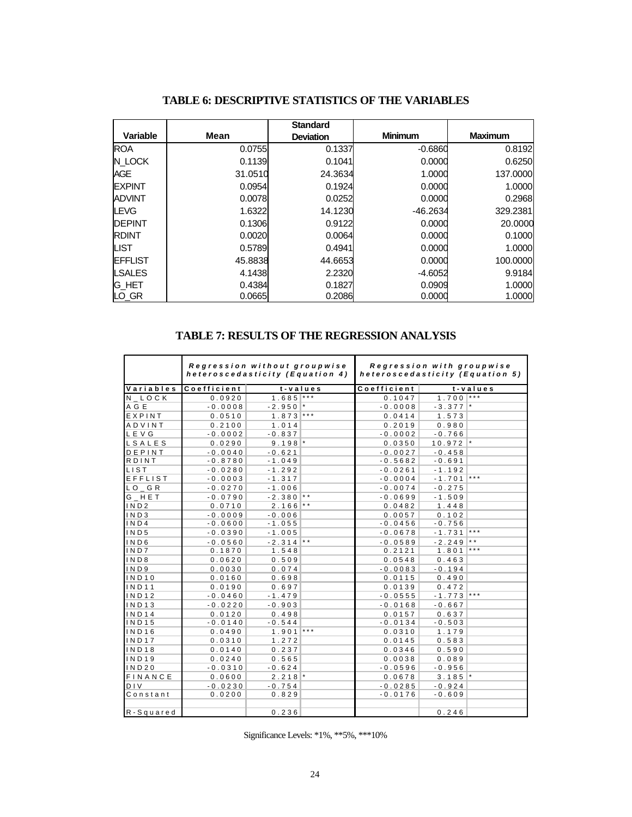|                 |         | <b>Standard</b>  |                |                |
|-----------------|---------|------------------|----------------|----------------|
| <b>Variable</b> | Mean    | <b>Deviation</b> | <b>Minimum</b> | <b>Maximum</b> |
| <b>ROA</b>      | 0.0755  | 0.1337           | $-0.6860$      | 0.8192         |
| N LOCK          | 0.1139  | 0.1041           | 0.0000         | 0.6250         |
| <b>AGE</b>      | 31.0510 | 24.3634          | 1.0000         | 137.0000       |
| <b>IEXPINT</b>  | 0.0954  | 0.1924           | 0.0000         | 1.0000         |
| <b>ADVINT</b>   | 0.0078  | 0.0252           | 0.0000         | 0.2968         |
| <b>LEVG</b>     | 1.6322  | 14.1230          | $-46.2634$     | 329.2381       |
| <b>IDEPINT</b>  | 0.1306  | 0.9122           | 0.0000         | 20.0000        |
| <b>RDINT</b>    | 0.0020  | 0.0064           | 0.0000         | 0.1000         |
| <b>LIST</b>     | 0.5789  | 0.4941           | 0.0000         | 1.0000         |
| <b>IEFFLIST</b> | 45.8838 | 44.6653          | 0.0000         | 100.0000       |
| <b>LSALES</b>   | 4.1438  | 2.2320           | $-4.6052$      | 9.9184         |
| <b>IG HET</b>   | 0.4384  | 0.1827           | 0.0909         | 1.0000         |
| LO_GR           | 0.0665  | 0.2086           | 0.0000         | 1.0000         |

# **TABLE 6: DESCRIPTIVE STATISTICS OF THE VARIABLES**

# **TABLE 7: RESULTS OF THE REGRESSION ANALYSIS**

|                                     |             | Regression without groupwise<br>heteroscedasticity (Equation 4) | Regression with groupwise<br>heteroscedasticity (Equation 5) |             |             |                         |
|-------------------------------------|-------------|-----------------------------------------------------------------|--------------------------------------------------------------|-------------|-------------|-------------------------|
| Variables                           | Coefficient | $t - v$ alues                                                   |                                                              | Coefficient |             | $t - v$ alues           |
| N LOCK                              | 0.0920      | $1.685$ ***                                                     |                                                              | 0.1047      | $1.700$ *** |                         |
| A G E                               | $-0.0008$   | $-2.950$ *                                                      |                                                              | $-0.0008$   | $-3.377$ *  |                         |
| EXPINT                              | 0.0510      | $1.873$ ***                                                     |                                                              | 0.0414      | 1.573       |                         |
| ADVINT                              | 0.2100      | 1.014                                                           |                                                              | 0.2019      | 0.980       |                         |
| LEVG                                | $-0.0002$   | $-0.837$                                                        |                                                              | $-0.0002$   | $-0.766$    |                         |
| LSALES                              | 0.0290      | $9.198$ <sup>*</sup>                                            |                                                              | 0.0350      | $10.972$ *  |                         |
| DEPINT                              | $-0.0040$   | $-0.621$                                                        |                                                              | $-0.0027$   | $-0.458$    |                         |
| RDINT                               | $-0.8780$   | $-1.049$                                                        |                                                              | $-0.5682$   | $-0.691$    |                         |
| <b>LIST</b>                         | $-0.0280$   | $-1.292$                                                        |                                                              | $-0.0261$   | $-1.192$    |                         |
| EFFLIST                             | $-0.0003$   | $-1.317$                                                        |                                                              | $-0.0004$   | $-1.701$    | $\star$ $\star$ $\star$ |
| $LO$ <sub><math>-</math></sub> $GR$ | $-0.0270$   | $-1.006$                                                        |                                                              | $-0.0074$   | $-0.275$    |                         |
| G HET                               | $-0.0790$   | $-2.380$ **                                                     |                                                              | $-0.0699$   | $-1.509$    |                         |
| IND <sub>2</sub>                    | 0.0710      | $2.166$ **                                                      |                                                              | 0.0482      | 1.448       |                         |
| IND3                                | $-0.0009$   | $-0.006$                                                        |                                                              | 0.0057      | 0.102       |                         |
| IND4                                | $-0.0600$   | $-1.055$                                                        |                                                              | $-0.0456$   | $-0.756$    |                         |
| IND <sub>5</sub>                    | $-0.0390$   | $-1.005$                                                        |                                                              | $-0.0678$   | $-1.731$    | $\star \star \star$     |
| IND6                                | $-0.0560$   | $-2.314$ **                                                     |                                                              | $-0.0589$   | $-2.249$    | $\star$ $\star$         |
| IND7                                | 0.1870      | 1.548                                                           |                                                              | 0.2121      | 1.801       | $\star$ $\star$ $\star$ |
| IND8                                | 0.0620      | 0.509                                                           |                                                              | 0.0548      | 0.463       |                         |
| IND9                                | 0.0030      | 0.074                                                           |                                                              | $-0.0083$   | $-0.194$    |                         |
| IND10                               | 0.0160      | 0.698                                                           |                                                              | 0.0115      | 0.490       |                         |
| <b>IND11</b>                        | 0.0190      | 0.697                                                           |                                                              | 0.0139      | 0.472       |                         |
| <b>IND12</b>                        | $-0.0460$   | $-1.479$                                                        |                                                              | $-0.0555$   | $-1.773$    | $* * *$                 |
| <b>IND13</b>                        | $-0.0220$   | $-0.903$                                                        |                                                              | $-0.0168$   | $-0.667$    |                         |
| <b>IND14</b>                        | 0.0120      | 0.498                                                           |                                                              | 0.0157      | 0.637       |                         |
| <b>IND15</b>                        | $-0.0140$   | $-0.544$                                                        |                                                              | $-0.0134$   | $-0.503$    |                         |
| <b>IND16</b>                        | 0.0490      | $1.901$ ***                                                     |                                                              | 0.0310      | 1.179       |                         |
| <b>IND17</b>                        | 0.0310      | 1.272                                                           |                                                              | 0.0145      | 0.583       |                         |
| <b>IND18</b>                        | 0.0140      | 0.237                                                           |                                                              | 0.0346      | 0.590       |                         |
| <b>IND19</b>                        | 0.0240      | 0.565                                                           |                                                              | 0.0038      | 0.089       |                         |
| IND20                               | $-0.0310$   | $-0.624$                                                        |                                                              | $-0.0596$   | $-0.956$    |                         |
| FINANCE                             | 0.0600      | $2.218$ <sup>*</sup>                                            |                                                              | 0.0678      | 3.185       |                         |
| <b>DIV</b>                          | $-0.0230$   | $-0.754$                                                        |                                                              | $-0.0285$   | $-0.924$    |                         |
| Constant                            | 0.0200      | 0.829                                                           |                                                              | $-0.0176$   | $-0.609$    |                         |
|                                     |             |                                                                 |                                                              |             |             |                         |
| R-Squared                           |             | 0.236                                                           |                                                              |             | 0.246       |                         |

Significance Levels: \*1%, \*\*5%, \*\*\*10%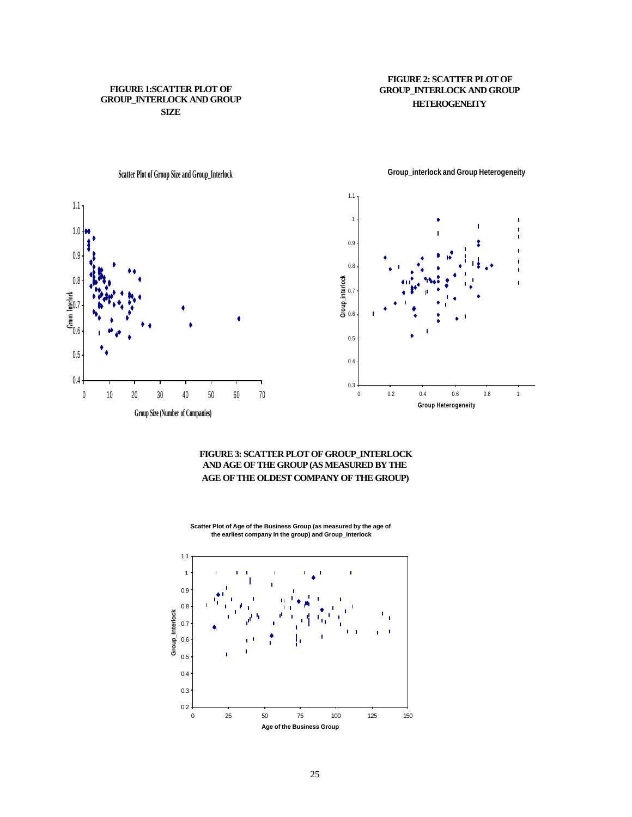### **FIGURE 1:SCATTER PLOT OF GROUP\_INTERLOCK AND GROUP SIZE**

## **FIGURE 2: SCATTER PLOT OF GROUP\_INTERLOCK AND GROUP HETEROGENEITY**



**Group\_interlock and Group Heterogeneity**

Ĭ

# **FIGURE 3: SCATTER PLOT OF GROUP\_INTERLOCK AND AGE OF THE GROUP (AS MEASURED BY THE AGE OF THE OLDEST COMPANY OF THE GROUP)**

**Scatter Plot of Age of the Business Group (as measured by the age of the earliest company in the group) and Group\_Interlock**

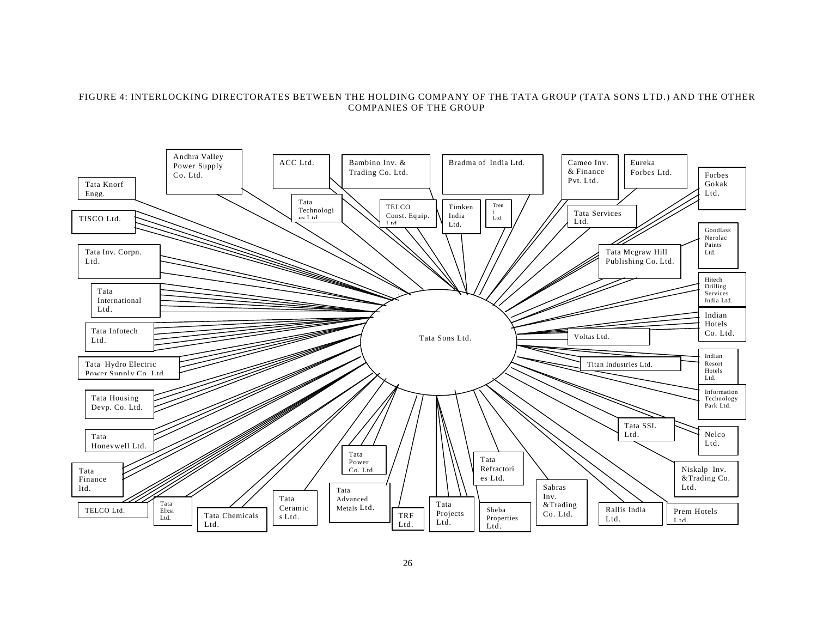### FIGURE 4: INTERLOCKING DIRECTORATES BETWEEN THE HOLDING COMPANY OF THE TATA GROUP (TATA SONS LTD.) AND THE OTHER COMPANIES OF THE GROUP

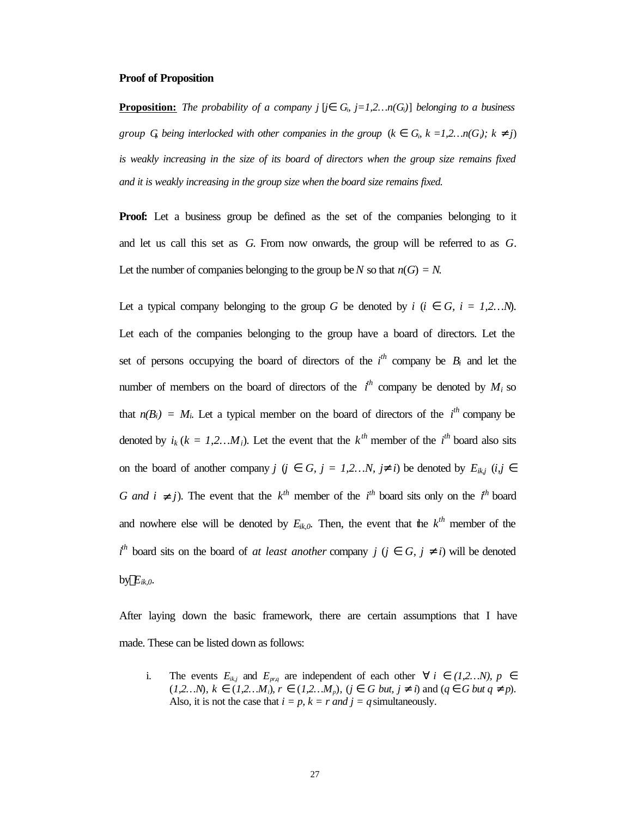### **Proof of Proposition**

**Proposition:** The probability of a company  $j$  [ $j$ *l*  $G<sub>i</sub>$ ,  $j=1,2...n(G<sub>i</sub>)$ ] belonging to a business *group* G being interlocked with other companies in the group ( $k$   $\tilde{I}$  G<sub>i</sub>,  $k = 1,2...n(G_i)$ ;  $k^{-1}$  j) is weakly increasing in the size of its board of directors when the group size remains fixed *and it is weakly increasing in the group size when the board size remains fixed.*

**Proof:** Let a business group be defined as the set of the companies belonging to it and let us call this set as *G*. From now onwards, the group will be referred to as *G*. Let the number of companies belonging to the group be *N* so that  $n(G) = N$ .

Let a typical company belonging to the group *G* be denoted by *i* (*i*  $\hat{I}$  *G*, *i* = 1,2…N). Let each of the companies belonging to the group have a board of directors. Let the set of persons occupying the board of directors of the  $i^{th}$  company be  $B_i$  and let the number of members on the board of directors of the  $i^h$  company be denoted by  $M_i$  so that  $n(B_i) = M_i$ . Let a typical member on the board of directors of the  $i^{th}$  company be denoted by  $i_k$  ( $k = 1, 2...M_i$ ). Let the event that the  $k^{th}$  member of the  $i^{th}$  board also sits on the board of another company *j* (*j*  $\hat{I}$  *G*, *j* = 1,2…N, *j*<sup> $1$ </sup> *i*) be denoted by  $E_{ik,j}$  (*i,j*  $\hat{I}$ *G and i* <sup>1</sup> *j*). The event that the  $k^{th}$  member of the *i*<sup>th</sup> board sits only on the *i*<sup>th</sup> board and nowhere else will be denoted by  $E_{ik,0}$ . Then, the event that the  $k^{th}$  member of the  $i^h$  board sits on the board of *at least another* company *j* (*j*  $\hat{I}$  *G, j* <sup>1</sup> *i*) will be denoted by  $\overline{E}_{ik,0}$ .

After laying down the basic framework, there are certain assumptions that I have made. These can be listed down as follows:

i. The events  $E_{ik,j}$  and  $E_{pr,q}$  are independent of each other " *i*  $\hat{\mathbf{I}}$  (1,2…N),  $p \hat{\mathbf{I}}$  $(1,2...N)$ ,  $k \ \hat{\mathbf{I}} \ (1,2...M_i)$ ,  $r \ \hat{\mathbf{I}} \ (1,2...M_p)$ ,  $(j \ \hat{\mathbf{I}} \ G \ but, j \^{-1} i)$  and  $(q \ \hat{\mathbf{I}} \ G \ but \ q \^{-1} p)$ . Also, it is not the case that  $i = p$ ,  $k = r$  *and*  $j = q$  simultaneously.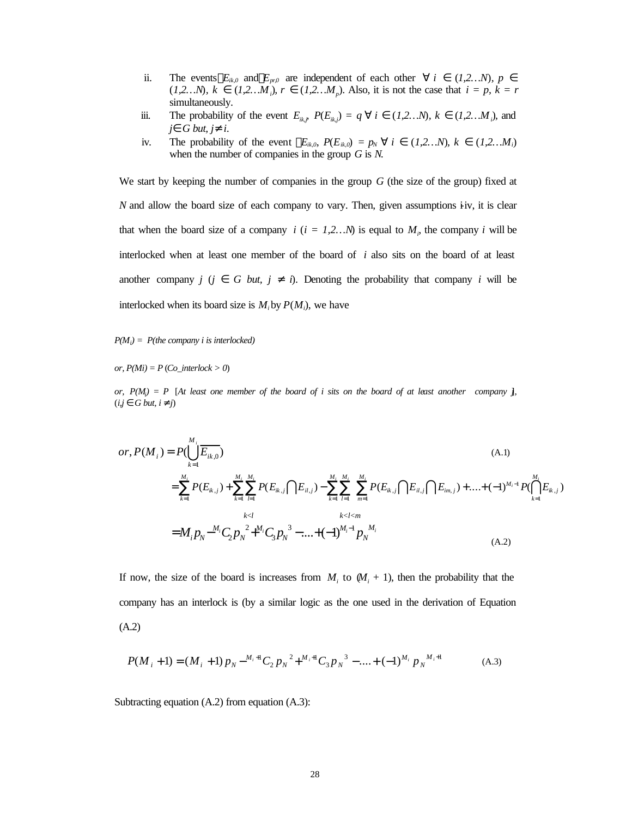- ii. The events  $E_{ik,0}$  and  $E_{pr,0}$  are independent of each other " *i*  $\tilde{I}$  (*1,2…N*)*, p*  $\tilde{I}$  $(1,2...N)$ ,  $k \in \mathbf{\hat{I}}$   $(1,2...M)$ ,  $r \in \mathbf{\hat{I}}$   $(1,2...M)$ , Also, it is not the case that  $i = p$ ,  $k = r$ simultaneously.
- iii. The probability of the event  $E_{ik,j}$ ,  $P(E_{ik,j}) = q$  " *i*  $\overline{I}$  (1,2…N),  $k \overline{I}$  (1,2…M<sub>*i*</sub>), and  $j\tilde{I}$  *G but,*  $j^1$  *i.*
- iv. The probability of the event  $\overline{E}_{ik,0}$ ,  $P(E_{ik,0}) = p_N$  " *i*  $\hat{I}$  (*1,2…N*),  $k \hat{I}$  (*1,2…M<sub>i</sub>*) when the number of companies in the group *G* is *N*.

We start by keeping the number of companies in the group *G* (the size of the group) fixed at *N* and allow the board size of each company to vary. Then, given assumptions i-iv, it is clear that when the board size of a company  $i$  ( $i = 1, 2...N$ ) is equal to  $M_i$ , the company  $i$  will be interlocked when at least one member of the board of *i* also sits on the board of at least another company *j* (*j*  $\hat{I}$  *G but, j* <sup>1</sup> *i*). Denoting the probability that company *i* will be interlocked when its board size is  $M_i$  by  $P(M_i)$ , we have

*P(M<sup>i</sup> ) = P(the company i is interlocked)*

*or, P(Mi) = P* (*Co\_interlock > 0*)

*or,*  $P(M_i) = P$  [At least one member of the board of i sits on the board of at least another company *j*,  $(i,j \hat{\mathbf{I}} G but, i^1 j)$ 

$$
or, P(M_i) = P(\bigcup_{k=1}^{M_i} \overline{E_{ik,0}})
$$
\n
$$
= \sum_{k=1}^{M_i} P(E_{ik,j}) + \sum_{k=1}^{M_i} \sum_{l=1}^{M_i} P(E_{ik,j} \cap E_{il,j}) - \sum_{k=1}^{M_i} \sum_{l=1}^{M_i} \sum_{m=1}^{M_i} P(E_{ik,j} \cap E_{il,j} \cap E_{im,j}) + .... + (-1)^{M_i-1} P(\bigcap_{k=1}^{M_i} E_{ik,j})
$$
\n
$$
= M_i p_N^{-M_i} C_2 p_N^{-2} + M_i C_3 p_N^{-3} - .... + (-1)^{M_i-1} p_N^{-M_i}
$$
\n(A.2)

If now, the size of the board is increases from  $M_i$  to  $(M_i + 1)$ , then the probability that the company has an interlock is (by a similar logic as the one used in the derivation of Equation (A.2)

$$
P(M_i + 1) = (M_i + 1) p_N - {}^{M_i + 1}C_2 p_N^2 + {}^{M_i + 1}C_3 p_N^3 - \dots + (-1)^{M_i} p_N^M{}^{i+1}
$$
 (A.3)

Subtracting equation (A.2) from equation (A.3):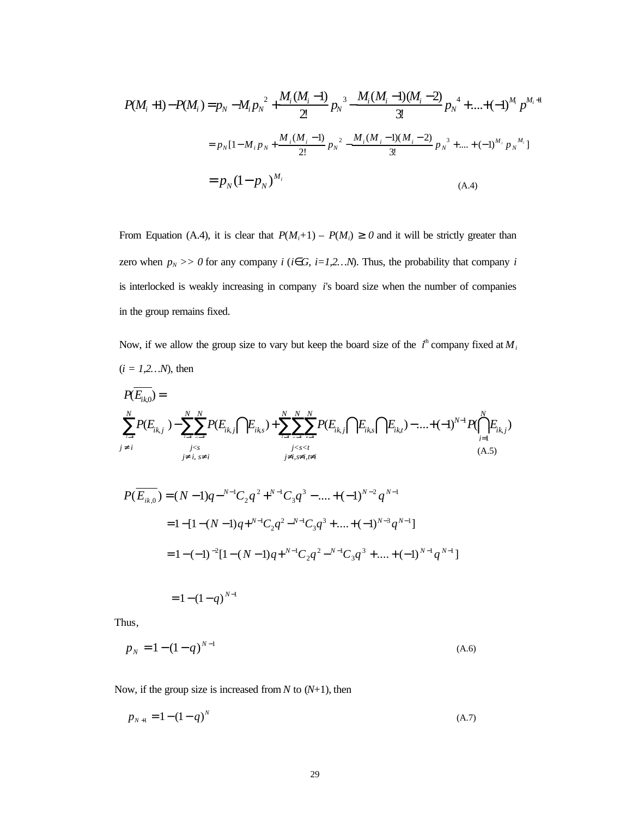$$
P(M_i+1) - P(M_i) = p_N - M_i p_N^2 + \frac{M_i (M_i-1)}{2!} p_N^3 - \frac{M_i (M_i-1)(M_i-2)}{3!} p_N^4 + \dots + (-1)^{M_i} p^{M_i+1}
$$
  
=  $p_N [1-M_i p_N + \frac{M_i (M_i-1)}{2!} p_N^2 - \frac{M_i (M_i-1)(M_i-2)}{3!} p_N^3 + \dots + (-1)^{M_i} p_N^{M_i}]$   
=  $p_N (1-p_N)^{M_i}$  (A.4)

From Equation (A.4), it is clear that  $P(M_i+1) - P(M_i) \ge 0$  and it will be strictly greater than zero when  $p_N$  >> 0 for any company *i* (*i***Î***G*, *i*=1,2...*N*). Thus, the probability that company *i* is interlocked is weakly increasing in company *i*'s board size when the number of companies in the group remains fixed.

Now, if we allow the group size to vary but keep the board size of the  $i^h$  company fixed at  $M_i$  $(i = 1, 2...N)$ , then

$$
P(\overline{E_{ik,j}}) = \sum_{i=1}^{N} P(E_{ik,j}) - \sum_{i=1}^{N} \sum_{i=1}^{N} P(E_{ik,j} \cap E_{ik,s}) + \sum_{i=1}^{N} \sum_{i=1}^{N} \sum_{i=1}^{N} P(E_{ik,j} \cap E_{ik,s} \cap E_{ik,t}) - \dots + (-1)^{N-1} P(\bigcap_{i=1}^{N} E_{ik,j})
$$
\n(A.5)

$$
P(\overline{E_{ik,0}}) = (N-1)q^{-N-1}C_2q^2 + N^{-1}C_3q^3 - \dots + (-1)^{N-2}q^{N-1}
$$
  
= 1 - [1 - (N-1)q + N^{-1}C\_2q^2 - N^{-1}C\_3q^3 + \dots + (-1)^{N-3}q^{N-1}]  
= 1 - (-1)^{-2}[1 - (N-1)q + N^{-1}C\_2q^2 - N^{-1}C\_3q^3 + \dots + (-1)^{N-1}q^{N-1}]

 $= 1 - (1 - q)^{N-1}$ 

Thus,

$$
p_N = 1 - (1 - q)^{N-1}
$$
 (A.6)

Now, if the group size is increased from *N* to (*N*+1), then

$$
p_{N+1} = 1 - (1 - q)^N \tag{A.7}
$$